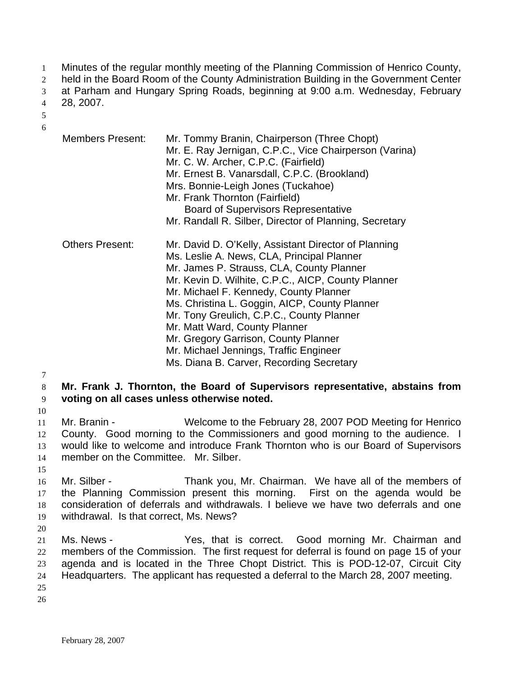Minutes of the regular monthly meeting of the Planning Commission of Henrico County, 1

held in the Board Room of the County Administration Building in the Government Center 2

at Parham and Hungary Spring Roads, beginning at 9:00 a.m. Wednesday, February 28, 2007. 3

4

5 6

| <b>Members Present:</b> | Mr. Tommy Branin, Chairperson (Three Chopt)<br>Mr. E. Ray Jernigan, C.P.C., Vice Chairperson (Varina)<br>Mr. C. W. Archer, C.P.C. (Fairfield)<br>Mr. Ernest B. Vanarsdall, C.P.C. (Brookland)<br>Mrs. Bonnie-Leigh Jones (Tuckahoe)<br>Mr. Frank Thornton (Fairfield)<br><b>Board of Supervisors Representative</b><br>Mr. Randall R. Silber, Director of Planning, Secretary                                                                                                                                |
|-------------------------|--------------------------------------------------------------------------------------------------------------------------------------------------------------------------------------------------------------------------------------------------------------------------------------------------------------------------------------------------------------------------------------------------------------------------------------------------------------------------------------------------------------|
| <b>Others Present:</b>  | Mr. David D. O'Kelly, Assistant Director of Planning<br>Ms. Leslie A. News, CLA, Principal Planner<br>Mr. James P. Strauss, CLA, County Planner<br>Mr. Kevin D. Wilhite, C.P.C., AICP, County Planner<br>Mr. Michael F. Kennedy, County Planner<br>Ms. Christina L. Goggin, AICP, County Planner<br>Mr. Tony Greulich, C.P.C., County Planner<br>Mr. Matt Ward, County Planner<br>Mr. Gregory Garrison, County Planner<br>Mr. Michael Jennings, Traffic Engineer<br>Ms. Diana B. Carver, Recording Secretary |
|                         | Mr. Frank J. Thornton, the Board of Supervisors representative, abstai                                                                                                                                                                                                                                                                                                                                                                                                                                       |

7

8 9 **Mr. Frank J. Thornton, the Board of Supervisors representative, abstains from voting on all cases unless otherwise noted.** 

10

11 12 13 14 Mr. Branin - Welcome to the February 28, 2007 POD Meeting for Henrico County. Good morning to the Commissioners and good morning to the audience. I would like to welcome and introduce Frank Thornton who is our Board of Supervisors member on the Committee. Mr. Silber.

15

16 17 18 19 Mr. Silber - Thank you, Mr. Chairman. We have all of the members of the Planning Commission present this morning. First on the agenda would be consideration of deferrals and withdrawals. I believe we have two deferrals and one withdrawal. Is that correct, Ms. News?

20

21 22 23 24 25 Ms. News - The Yes, that is correct. Good morning Mr. Chairman and members of the Commission. The first request for deferral is found on page 15 of your agenda and is located in the Three Chopt District. This is POD-12-07, Circuit City Headquarters. The applicant has requested a deferral to the March 28, 2007 meeting.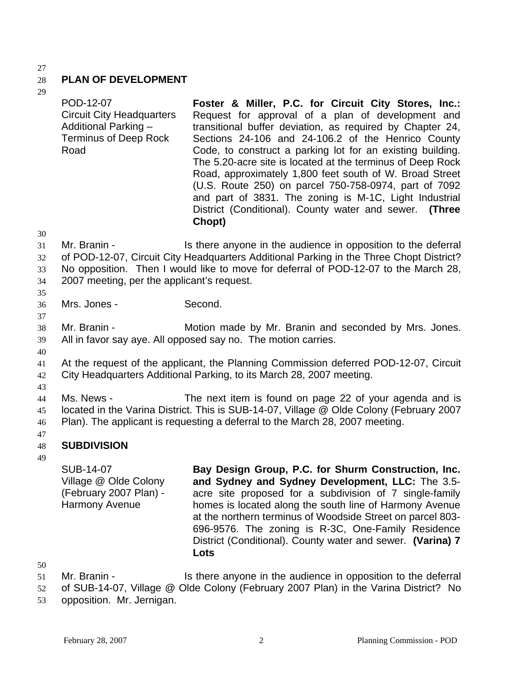#### 28 **PLAN OF DEVELOPMENT**

29

POD-12-07 Circuit City Headquarters Additional Parking – Terminus of Deep Rock Road **Foster & Miller, P.C. for Circuit City Stores, Inc.:**  Request for approval of a plan of development and transitional buffer deviation, as required by Chapter 24, Sections 24-106 and 24-106.2 of the Henrico County Code, to construct a parking lot for an existing building. The 5.20-acre site is located at the terminus of Deep Rock Road, approximately 1,800 feet south of W. Broad Street (U.S. Route 250) on parcel 750-758-0974, part of 7092 and part of 3831. The zoning is M-1C, Light Industrial District (Conditional). County water and sewer. **(Three Chopt)**

30

35

37

- 31 32 33 34 Mr. Branin - The Is there anyone in the audience in opposition to the deferral of POD-12-07, Circuit City Headquarters Additional Parking in the Three Chopt District? No opposition. Then I would like to move for deferral of POD-12-07 to the March 28, 2007 meeting, per the applicant's request.
- 36 Mrs. Jones - Second.
- 38 39 Mr. Branin - **Motion made by Mr. Branin and seconded by Mrs. Jones.** All in favor say aye. All opposed say no. The motion carries.
- 40
- 41 42 At the request of the applicant, the Planning Commission deferred POD-12-07, Circuit City Headquarters Additional Parking, to its March 28, 2007 meeting.
- 43
- 44 45 46 Ms. News - The next item is found on page 22 of your agenda and is located in the Varina District. This is SUB-14-07, Village @ Olde Colony (February 2007 Plan). The applicant is requesting a deferral to the March 28, 2007 meeting.

#### 48 **SUBDIVISION**

49

47

SUB-14-07 Village @ Olde Colony (February 2007 Plan) - Harmony Avenue

**Bay Design Group, P.C. for Shurm Construction, Inc. and Sydney and Sydney Development, LLC:** The 3.5 acre site proposed for a subdivision of 7 single-family homes is located along the south line of Harmony Avenue at the northern terminus of Woodside Street on parcel 803- 696-9576. The zoning is R-3C, One-Family Residence District (Conditional). County water and sewer. **(Varina) 7 Lots** 

- 51 Mr. Branin - The Is there anyone in the audience in opposition to the deferral
- 52 of SUB-14-07, Village @ Olde Colony (February 2007 Plan) in the Varina District? No
- 53 opposition. Mr. Jernigan.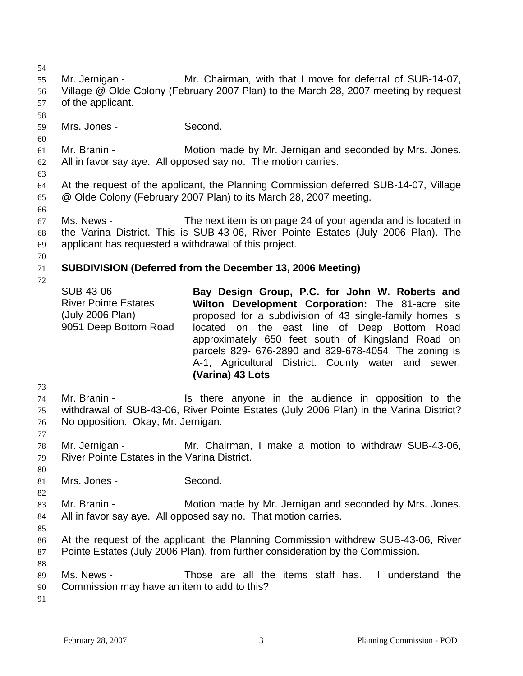55 56 57 58 59 60 61 62 63 64 65 66 67 68 69 70 71 72 73 74 75 76 77 78 79 80 81 82 83 84 85 86 87 88 Mr. Jernigan - Mr. Chairman, with that I move for deferral of SUB-14-07, Village @ Olde Colony (February 2007 Plan) to the March 28, 2007 meeting by request of the applicant. Mrs. Jones - Second. Mr. Branin - **Motion made by Mr. Jernigan and seconded by Mrs. Jones.** All in favor say aye. All opposed say no. The motion carries. At the request of the applicant, the Planning Commission deferred SUB-14-07, Village @ Olde Colony (February 2007 Plan) to its March 28, 2007 meeting. Ms. News - The next item is on page 24 of your agenda and is located in the Varina District. This is SUB-43-06, River Pointe Estates (July 2006 Plan). The applicant has requested a withdrawal of this project. **SUBDIVISION (Deferred from the December 13, 2006 Meeting)**  SUB-43-06 River Pointe Estates (July 2006 Plan) 9051 Deep Bottom Road **Bay Design Group, P.C. for John W. Roberts and Wilton Development Corporation:** The 81-acre site proposed for a subdivision of 43 single-family homes is located on the east line of Deep Bottom Road approximately 650 feet south of Kingsland Road on parcels 829- 676-2890 and 829-678-4054. The zoning is A-1, Agricultural District. County water and sewer. **(Varina) 43 Lots**  Mr. Branin - The Is there anyone in the audience in opposition to the withdrawal of SUB-43-06, River Pointe Estates (July 2006 Plan) in the Varina District? No opposition. Okay, Mr. Jernigan. Mr. Jernigan - Mr. Chairman, I make a motion to withdraw SUB-43-06, River Pointe Estates in the Varina District. Mrs. Jones - Second. Mr. Branin - Motion made by Mr. Jernigan and seconded by Mrs. Jones. All in favor say aye. All opposed say no. That motion carries. At the request of the applicant, the Planning Commission withdrew SUB-43-06, River Pointe Estates (July 2006 Plan), from further consideration by the Commission.

- 89 90 Ms. News - Those are all the items staff has. I understand the Commission may have an item to add to this?
- 91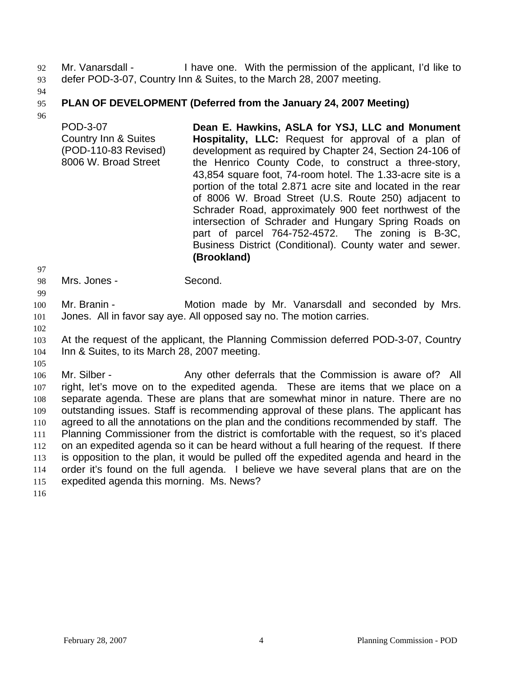Mr. Vanarsdall - I have one. With the permission of the applicant, I'd like to defer POD-3-07, Country Inn & Suites, to the March 28, 2007 meeting. 93

94

#### 95 **PLAN OF DEVELOPMENT (Deferred from the January 24, 2007 Meeting)**

96

POD-3-07 Country Inn & Suites (POD-110-83 Revised) 8006 W. Broad Street **Dean E. Hawkins, ASLA for YSJ, LLC and Monument Hospitality, LLC:** Request for approval of a plan of development as required by Chapter 24, Section 24-106 of the Henrico County Code, to construct a three-story, 43,854 square foot, 74-room hotel. The 1.33-acre site is a portion of the total 2.871 acre site and located in the rear of 8006 W. Broad Street (U.S. Route 250) adjacent to Schrader Road, approximately 900 feet northwest of the intersection of Schrader and Hungary Spring Roads on part of parcel 764-752-4572. The zoning is B-3C, Business District (Conditional). County water and sewer. **(Brookland)** 

97 98

Mrs. Jones - Second.

100 101 Mr. Branin - **Motion made by Mr. Vanarsdall and seconded by Mrs.** Jones. All in favor say aye. All opposed say no. The motion carries.

102

105

99

103 104 At the request of the applicant, the Planning Commission deferred POD-3-07, Country Inn & Suites, to its March 28, 2007 meeting.

106 107 108 109 110 111 112 113 114 115 Mr. Silber - Any other deferrals that the Commission is aware of? All right, let's move on to the expedited agenda. These are items that we place on a separate agenda. These are plans that are somewhat minor in nature. There are no outstanding issues. Staff is recommending approval of these plans. The applicant has agreed to all the annotations on the plan and the conditions recommended by staff. The Planning Commissioner from the district is comfortable with the request, so it's placed on an expedited agenda so it can be heard without a full hearing of the request. If there is opposition to the plan, it would be pulled off the expedited agenda and heard in the order it's found on the full agenda. I believe we have several plans that are on the expedited agenda this morning. Ms. News?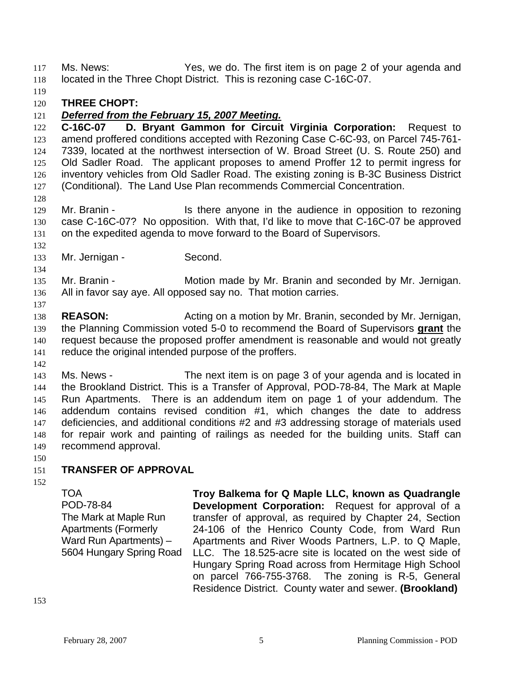Ms. News: Yes, we do. The first item is on page 2 of your agenda and located in the Three Chopt District. This is rezoning case C-16C-07. 117 118

119

## 120 **THREE CHOPT:**

## 121 *Deferred from the February 15, 2007 Meeting.*

122 123 124 125 126 127 **C-16C-07 D. Bryant Gammon for Circuit Virginia Corporation:** Request to amend proffered conditions accepted with Rezoning Case C-6C-93, on Parcel 745-761- 7339, located at the northwest intersection of W. Broad Street (U. S. Route 250) and Old Sadler Road. The applicant proposes to amend Proffer 12 to permit ingress for inventory vehicles from Old Sadler Road. The existing zoning is B-3C Business District (Conditional). The Land Use Plan recommends Commercial Concentration.

- 128
- 129 130 131 Mr. Branin - Is there anyone in the audience in opposition to rezoning case C-16C-07? No opposition. With that, I'd like to move that C-16C-07 be approved on the expedited agenda to move forward to the Board of Supervisors.
- 132

137

142

133 Mr. Jernigan - Second.

134 135 136 Mr. Branin - **Motion made by Mr. Branin and seconded by Mr. Jernigan.** All in favor say aye. All opposed say no. That motion carries.

138 **REASON:** Acting on a motion by Mr. Branin, seconded by Mr. Jernigan, the Planning Commission voted 5-0 to recommend the Board of Supervisors **grant** the request because the proposed proffer amendment is reasonable and would not greatly reduce the original intended purpose of the proffers. 139 140 141

143 144 145 146 147 148 149 Ms. News - The next item is on page 3 of your agenda and is located in the Brookland District. This is a Transfer of Approval, POD-78-84, The Mark at Maple Run Apartments. There is an addendum item on page 1 of your addendum. The addendum contains revised condition #1, which changes the date to address deficiencies, and additional conditions #2 and #3 addressing storage of materials used for repair work and painting of railings as needed for the building units. Staff can recommend approval.

150

#### 151 **TRANSFER OF APPROVAL**

152

TOA POD-78-84 The Mark at Maple Run Apartments (Formerly Ward Run Apartments) – 5604 Hungary Spring Road

**Troy Balkema for Q Maple LLC, known as Quadrangle Development Corporation:** Request for approval of a transfer of approval, as required by Chapter 24, Section 24-106 of the Henrico County Code, from Ward Run Apartments and River Woods Partners, L.P. to Q Maple, LLC. The 18.525-acre site is located on the west side of Hungary Spring Road across from Hermitage High School on parcel 766-755-3768. The zoning is R-5, General Residence District. County water and sewer. **(Brookland)**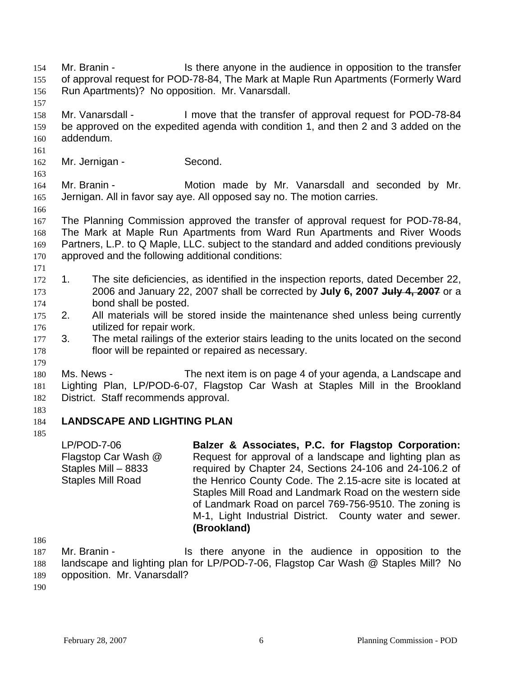158 159 160 161 162 163 164 165 166 167 168 169 170 171 172 Mr. Vanarsdall - The lowe that the transfer of approval request for POD-78-84 be approved on the expedited agenda with condition 1, and then 2 and 3 added on the addendum. Mr. Jernigan - Second. Mr. Branin - The Motion made by Mr. Vanarsdall and seconded by Mr. Jernigan. All in favor say aye. All opposed say no. The motion carries. The Planning Commission approved the transfer of approval request for POD-78-84, The Mark at Maple Run Apartments from Ward Run Apartments and River Woods Partners, L.P. to Q Maple, LLC. subject to the standard and added conditions previously approved and the following additional conditions: 1. The site deficiencies, as identified in the inspection reports, dated December 22, 2006 and January 22, 2007 shall be corrected by **July 6, 2007 July 4, 2007** or a bond shall be posted. 173 174 176 177 178 179 180 181 182 183 184 185 186 175 2. All materials will be stored inside the maintenance shed unless being currently utilized for repair work. 3. The metal railings of the exterior stairs leading to the units located on the second floor will be repainted or repaired as necessary. Ms. News - The next item is on page 4 of your agenda, a Landscape and Lighting Plan, LP/POD-6-07, Flagstop Car Wash at Staples Mill in the Brookland District. Staff recommends approval. **LANDSCAPE AND LIGHTING PLAN**  LP/POD-7-06 Flagstop Car Wash @ Staples Mill – 8833 Staples Mill Road **Balzer & Associates, P.C. for Flagstop Corporation:**  Request for approval of a landscape and lighting plan as required by Chapter 24, Sections 24-106 and 24-106.2 of the Henrico County Code. The 2.15-acre site is located at Staples Mill Road and Landmark Road on the western side of Landmark Road on parcel 769-756-9510. The zoning is M-1, Light Industrial District. County water and sewer. **(Brookland)**

Mr. Branin - The Is there anyone in the audience in opposition to the transfer of approval request for POD-78-84, The Mark at Maple Run Apartments (Formerly Ward

Run Apartments)? No opposition. Mr. Vanarsdall.

187

188 Mr. Branin - The Is there anyone in the audience in opposition to the landscape and lighting plan for LP/POD-7-06, Flagstop Car Wash @ Staples Mill? No

189 opposition. Mr. Vanarsdall?

190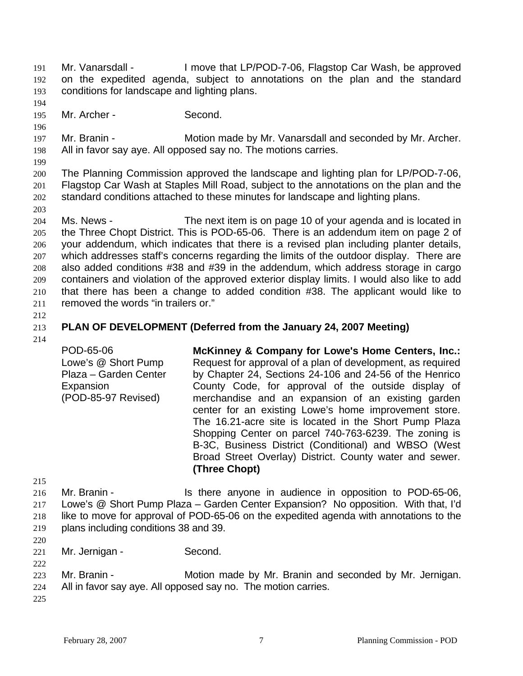Mr. Vanarsdall - I move that LP/POD-7-06, Flagstop Car Wash, be approved on the expedited agenda, subject to annotations on the plan and the standard conditions for landscape and lighting plans. 191 192 193

195 Mr. Archer - Second.

197 198 Mr. Branin - Motion made by Mr. Vanarsdall and seconded by Mr. Archer. All in favor say aye. All opposed say no. The motions carries.

199

194

196

200 201 202 The Planning Commission approved the landscape and lighting plan for LP/POD-7-06, Flagstop Car Wash at Staples Mill Road, subject to the annotations on the plan and the standard conditions attached to these minutes for landscape and lighting plans.

203

204 205 206 207 208 209 210 211 Ms. News - The next item is on page 10 of your agenda and is located in the Three Chopt District. This is POD-65-06. There is an addendum item on page 2 of your addendum, which indicates that there is a revised plan including planter details, which addresses staff's concerns regarding the limits of the outdoor display. There are also added conditions #38 and #39 in the addendum, which address storage in cargo containers and violation of the approved exterior display limits. I would also like to add that there has been a change to added condition #38. The applicant would like to removed the words "in trailers or."

212

#### 213 **PLAN OF DEVELOPMENT (Deferred from the January 24, 2007 Meeting)**

214

POD-65-06 Lowe's @ Short Pump Plaza – Garden Center **Expansion** (POD-85-97 Revised) **McKinney & Company for Lowe's Home Centers, Inc.:**  Request for approval of a plan of development, as required by Chapter 24, Sections 24-106 and 24-56 of the Henrico County Code, for approval of the outside display of merchandise and an expansion of an existing garden center for an existing Lowe's home improvement store. The 16.21-acre site is located in the Short Pump Plaza Shopping Center on parcel 740-763-6239. The zoning is B-3C, Business District (Conditional) and WBSO (West Broad Street Overlay) District. County water and sewer. **(Three Chopt)** 

215

216 217 218 219 Mr. Branin - The Is there anyone in audience in opposition to POD-65-06, Lowe's @ Short Pump Plaza – Garden Center Expansion? No opposition. With that, I'd like to move for approval of POD-65-06 on the expedited agenda with annotations to the plans including conditions 38 and 39.

220 221

- Mr. Jernigan Second.
- 223 224 Mr. Branin - Motion made by Mr. Branin and seconded by Mr. Jernigan. All in favor say aye. All opposed say no. The motion carries.
- 225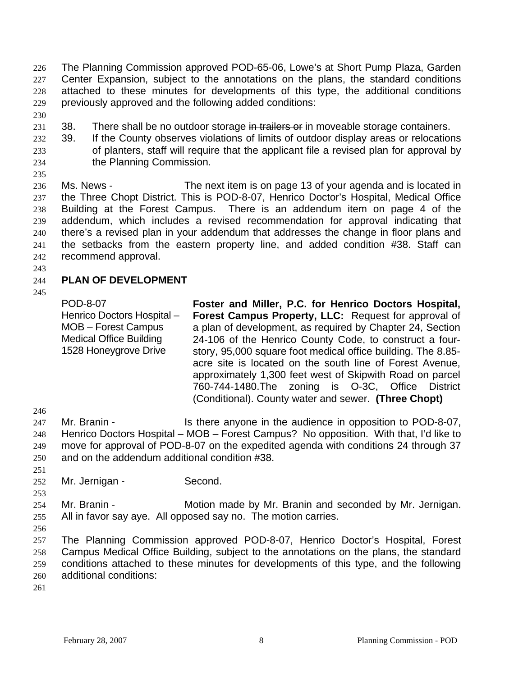- The Planning Commission approved POD-65-06, Lowe's at Short Pump Plaza, Garden Center Expansion, subject to the annotations on the plans, the standard conditions attached to these minutes for developments of this type, the additional conditions previously approved and the following added conditions: 226 227 228 229
- 230
- 231 38. There shall be no outdoor storage in trailers or in moveable storage containers.
- 232 39. If the County observes violations of limits of outdoor display areas or relocations of planters, staff will require that the applicant file a revised plan for approval by the Planning Commission. 233 234
- 235

236 237 238 239 240 241 242 Ms. News - The next item is on page 13 of your agenda and is located in the Three Chopt District. This is POD-8-07, Henrico Doctor's Hospital, Medical Office Building at the Forest Campus. There is an addendum item on page 4 of the addendum, which includes a revised recommendation for approval indicating that there's a revised plan in your addendum that addresses the change in floor plans and the setbacks from the eastern property line, and added condition #38. Staff can recommend approval.

243

#### 244 **PLAN OF DEVELOPMENT**

245

POD-8-07 Henrico Doctors Hospital – MOB – Forest Campus Medical Office Building 1528 Honeygrove Drive **Foster and Miller, P.C. for Henrico Doctors Hospital, Forest Campus Property, LLC:** Request for approval of a plan of development, as required by Chapter 24, Section 24-106 of the Henrico County Code, to construct a fourstory, 95,000 square foot medical office building. The 8.85 acre site is located on the south line of Forest Avenue, approximately 1,300 feet west of Skipwith Road on parcel 760-744-1480.The zoning is O-3C, Office District (Conditional). County water and sewer. **(Three Chopt)**

247 248 249 250 Mr. Branin - Is there anyone in the audience in opposition to POD-8-07, Henrico Doctors Hospital – MOB – Forest Campus? No opposition. With that, I'd like to move for approval of POD-8-07 on the expedited agenda with conditions 24 through 37 and on the addendum additional condition #38.

251 252

246

- Mr. Jernigan Second.
- 253 254 255 Mr. Branin - Motion made by Mr. Branin and seconded by Mr. Jernigan. All in favor say aye. All opposed say no. The motion carries.
- 256

257 258 259 260 The Planning Commission approved POD-8-07, Henrico Doctor's Hospital, Forest Campus Medical Office Building, subject to the annotations on the plans, the standard conditions attached to these minutes for developments of this type, and the following additional conditions: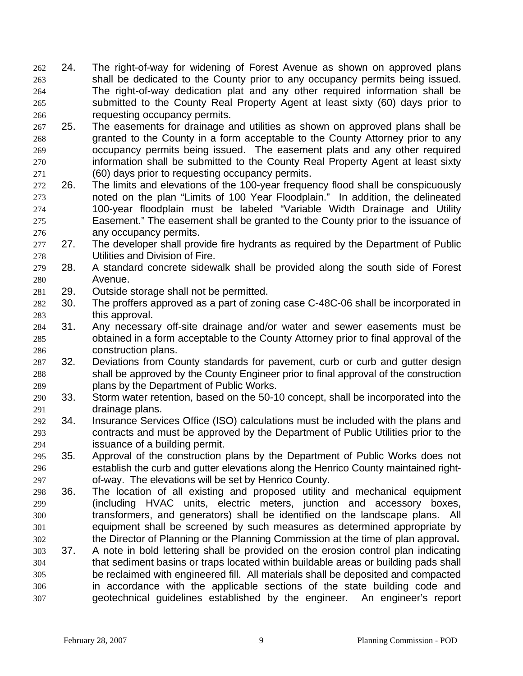- 24. The right-of-way for widening of Forest Avenue as shown on approved plans shall be dedicated to the County prior to any occupancy permits being issued. The right-of-way dedication plat and any other required information shall be submitted to the County Real Property Agent at least sixty (60) days prior to requesting occupancy permits. 262 263 264 265 266
- 267 268 269 270 271 25. The easements for drainage and utilities as shown on approved plans shall be granted to the County in a form acceptable to the County Attorney prior to any occupancy permits being issued. The easement plats and any other required information shall be submitted to the County Real Property Agent at least sixty (60) days prior to requesting occupancy permits.
- 272 273 274 275 276 26. The limits and elevations of the 100-year frequency flood shall be conspicuously noted on the plan "Limits of 100 Year Floodplain." In addition, the delineated 100-year floodplain must be labeled "Variable Width Drainage and Utility Easement." The easement shall be granted to the County prior to the issuance of any occupancy permits.
- 277 278 27. The developer shall provide fire hydrants as required by the Department of Public Utilities and Division of Fire.
- 279 280 28. A standard concrete sidewalk shall be provided along the south side of Forest Avenue.
- 281 29. Outside storage shall not be permitted.
- 282 283 30. The proffers approved as a part of zoning case C-48C-06 shall be incorporated in this approval.
- 284 285 286 31. Any necessary off-site drainage and/or water and sewer easements must be obtained in a form acceptable to the County Attorney prior to final approval of the construction plans.
- 287 288 289 32. Deviations from County standards for pavement, curb or curb and gutter design shall be approved by the County Engineer prior to final approval of the construction plans by the Department of Public Works.
- 290 291 33. Storm water retention, based on the 50-10 concept, shall be incorporated into the drainage plans.
- 292 293 294 34. Insurance Services Office (ISO) calculations must be included with the plans and contracts and must be approved by the Department of Public Utilities prior to the issuance of a building permit.
- 295 296 297 35. Approval of the construction plans by the Department of Public Works does not establish the curb and gutter elevations along the Henrico County maintained rightof-way. The elevations will be set by Henrico County.
- 298 299 300 301 302 36. The location of all existing and proposed utility and mechanical equipment (including HVAC units, electric meters, junction and accessory boxes, transformers, and generators) shall be identified on the landscape plans. All equipment shall be screened by such measures as determined appropriate by the Director of Planning or the Planning Commission at the time of plan approval**.**
- 303 304 305 306 307 37. A note in bold lettering shall be provided on the erosion control plan indicating that sediment basins or traps located within buildable areas or building pads shall be reclaimed with engineered fill. All materials shall be deposited and compacted in accordance with the applicable sections of the state building code and geotechnical guidelines established by the engineer. An engineer's report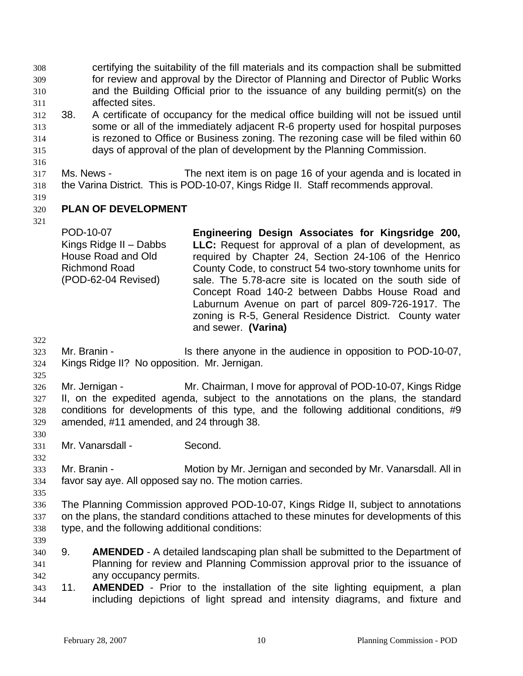certifying the suitability of the fill materials and its compaction shall be submitted for review and approval by the Director of Planning and Director of Public Works and the Building Official prior to the issuance of any building permit(s) on the affected sites. 308 309 310 311

- 312 313 314 315 38. A certificate of occupancy for the medical office building will not be issued until some or all of the immediately adjacent R-6 property used for hospital purposes is rezoned to Office or Business zoning. The rezoning case will be filed within 60 days of approval of the plan of development by the Planning Commission.
- 316

317 318 Ms. News - The next item is on page 16 of your agenda and is located in the Varina District. This is POD-10-07, Kings Ridge II. Staff recommends approval.

- 320 **PLAN OF DEVELOPMENT**
- 321

319

POD-10-07 Kings Ridge II – Dabbs House Road and Old Richmond Road (POD-62-04 Revised) **Engineering Design Associates for Kingsridge 200, LLC:** Request for approval of a plan of development, as required by Chapter 24, Section 24-106 of the Henrico County Code, to construct 54 two-story townhome units for sale. The 5.78-acre site is located on the south side of Concept Road 140-2 between Dabbs House Road and Laburnum Avenue on part of parcel 809-726-1917. The zoning is R-5, General Residence District. County water and sewer. **(Varina)**

322

325

330

332

323 324 Mr. Branin - The Is there anyone in the audience in opposition to POD-10-07, Kings Ridge II? No opposition. Mr. Jernigan.

326 327 328 329 Mr. Jernigan - Mr. Chairman, I move for approval of POD-10-07, Kings Ridge II, on the expedited agenda, subject to the annotations on the plans, the standard conditions for developments of this type, and the following additional conditions, #9 amended, #11 amended, and 24 through 38.

331 Mr. Vanarsdall - Second.

333 334 Mr. Branin - **Motion by Mr. Jernigan and seconded by Mr. Vanarsdall. All in** favor say aye. All opposed say no. The motion carries.

335

336 337 338 The Planning Commission approved POD-10-07, Kings Ridge II, subject to annotations on the plans, the standard conditions attached to these minutes for developments of this type, and the following additional conditions:

- 339
- 340 341 342 9. **AMENDED** - A detailed landscaping plan shall be submitted to the Department of Planning for review and Planning Commission approval prior to the issuance of any occupancy permits.
- 344 343 11. **AMENDED** - Prior to the installation of the site lighting equipment, a plan including depictions of light spread and intensity diagrams, and fixture and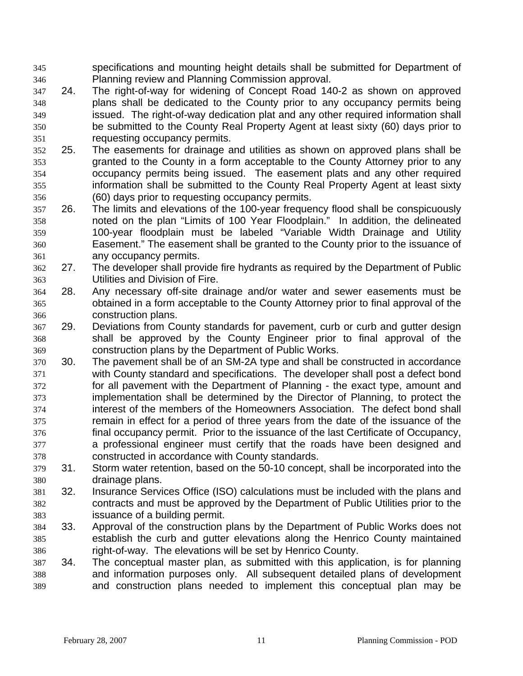specifications and mounting height details shall be submitted for Department of Planning review and Planning Commission approval. 345 346

- 348 349 350 351 347 24. The right-of-way for widening of Concept Road 140-2 as shown on approved plans shall be dedicated to the County prior to any occupancy permits being issued. The right-of-way dedication plat and any other required information shall be submitted to the County Real Property Agent at least sixty (60) days prior to requesting occupancy permits.
- 353 354 355 356 352 25. The easements for drainage and utilities as shown on approved plans shall be granted to the County in a form acceptable to the County Attorney prior to any occupancy permits being issued. The easement plats and any other required information shall be submitted to the County Real Property Agent at least sixty (60) days prior to requesting occupancy permits.
- 358 359 360 361 357 26. The limits and elevations of the 100-year frequency flood shall be conspicuously noted on the plan "Limits of 100 Year Floodplain." In addition, the delineated 100-year floodplain must be labeled "Variable Width Drainage and Utility Easement." The easement shall be granted to the County prior to the issuance of any occupancy permits.
- 363 362 27. The developer shall provide fire hydrants as required by the Department of Public Utilities and Division of Fire.
- 365 366 364 28. Any necessary off-site drainage and/or water and sewer easements must be obtained in a form acceptable to the County Attorney prior to final approval of the construction plans.
- 368 369 367 29. Deviations from County standards for pavement, curb or curb and gutter design shall be approved by the County Engineer prior to final approval of the construction plans by the Department of Public Works.
- 371 372 373 374 375 376 377 378 370 30. The pavement shall be of an SM-2A type and shall be constructed in accordance with County standard and specifications. The developer shall post a defect bond for all pavement with the Department of Planning - the exact type, amount and implementation shall be determined by the Director of Planning, to protect the interest of the members of the Homeowners Association. The defect bond shall remain in effect for a period of three years from the date of the issuance of the final occupancy permit. Prior to the issuance of the last Certificate of Occupancy, a professional engineer must certify that the roads have been designed and constructed in accordance with County standards.
- 380 379 31. Storm water retention, based on the 50-10 concept, shall be incorporated into the drainage plans.
- 382 383 381 32. Insurance Services Office (ISO) calculations must be included with the plans and contracts and must be approved by the Department of Public Utilities prior to the issuance of a building permit.
- 385 386 384 33. Approval of the construction plans by the Department of Public Works does not establish the curb and gutter elevations along the Henrico County maintained right-of-way. The elevations will be set by Henrico County.
- 388 389 387 34. The conceptual master plan, as submitted with this application, is for planning and information purposes only. All subsequent detailed plans of development and construction plans needed to implement this conceptual plan may be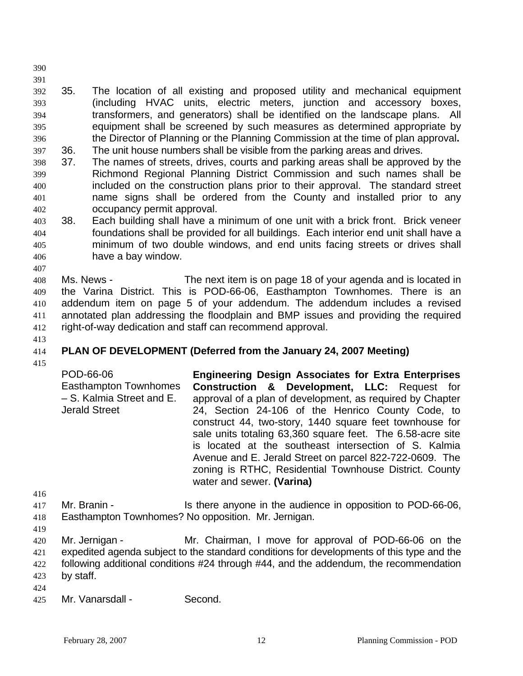- 390
- 391
- 393 394 395 396 392 35. The location of all existing and proposed utility and mechanical equipment (including HVAC units, electric meters, junction and accessory boxes, transformers, and generators) shall be identified on the landscape plans. All equipment shall be screened by such measures as determined appropriate by the Director of Planning or the Planning Commission at the time of plan approval**.** 397 36. The unit house numbers shall be visible from the parking areas and drives.
- 399 400 401 402 398 37. The names of streets, drives, courts and parking areas shall be approved by the Richmond Regional Planning District Commission and such names shall be included on the construction plans prior to their approval. The standard street name signs shall be ordered from the County and installed prior to any occupancy permit approval.
- 404 405 406 403 38. Each building shall have a minimum of one unit with a brick front. Brick veneer foundations shall be provided for all buildings. Each interior end unit shall have a minimum of two double windows, and end units facing streets or drives shall have a bay window.
- 408 409 410 411 412 Ms. News - The next item is on page 18 of your agenda and is located in the Varina District. This is POD-66-06, Easthampton Townhomes. There is an addendum item on page 5 of your addendum. The addendum includes a revised annotated plan addressing the floodplain and BMP issues and providing the required right-of-way dedication and staff can recommend approval.
- 413 414

## **PLAN OF DEVELOPMENT (Deferred from the January 24, 2007 Meeting)**

- 415 POD-66-06 Easthampton Townhomes – S. Kalmia Street and E. Jerald Street **Engineering Design Associates for Extra Enterprises Construction & Development, LLC:** Request for approval of a plan of development, as required by Chapter 24, Section 24-106 of the Henrico County Code, to construct 44, two-story, 1440 square feet townhouse for sale units totaling 63,360 square feet. The 6.58-acre site is located at the southeast intersection of S. Kalmia Avenue and E. Jerald Street on parcel 822-722-0609. The zoning is RTHC, Residential Townhouse District. County water and sewer. **(Varina)**
- 416
- 417 418 Mr. Branin - Is there anyone in the audience in opposition to POD-66-06, Easthampton Townhomes? No opposition. Mr. Jernigan.
- 419
- 420 421 422 Mr. Jernigan - Mr. Chairman, I move for approval of POD-66-06 on the expedited agenda subject to the standard conditions for developments of this type and the following additional conditions #24 through #44, and the addendum, the recommendation
- 423 by staff.
- 424
- 425 Mr. Vanarsdall - Second.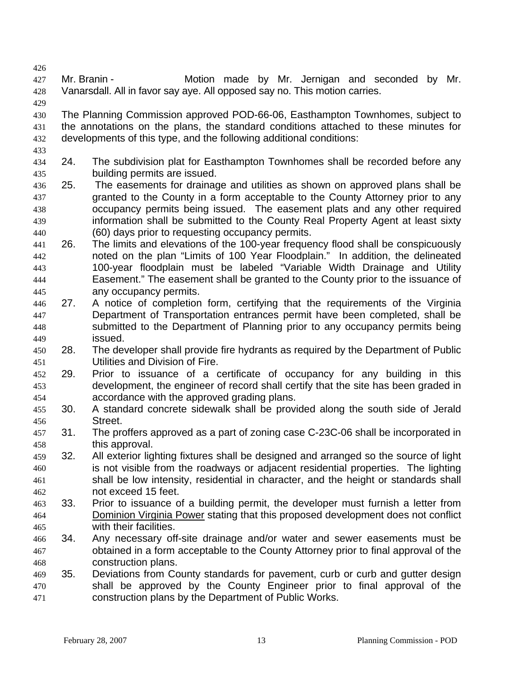427 428 Mr. Branin - The Motion made by Mr. Jernigan and seconded by Mr. Vanarsdall. All in favor say aye. All opposed say no. This motion carries.

- 429 430 431 432 The Planning Commission approved POD-66-06, Easthampton Townhomes, subject to the annotations on the plans, the standard conditions attached to these minutes for developments of this type, and the following additional conditions:
- 433

- 435 434 24. The subdivision plat for Easthampton Townhomes shall be recorded before any building permits are issued.
- 437 438 439 440 436 25. The easements for drainage and utilities as shown on approved plans shall be granted to the County in a form acceptable to the County Attorney prior to any occupancy permits being issued. The easement plats and any other required information shall be submitted to the County Real Property Agent at least sixty (60) days prior to requesting occupancy permits.
- 442 443 444 445 441 26. The limits and elevations of the 100-year frequency flood shall be conspicuously noted on the plan "Limits of 100 Year Floodplain." In addition, the delineated 100-year floodplain must be labeled "Variable Width Drainage and Utility Easement." The easement shall be granted to the County prior to the issuance of any occupancy permits.
- 447 448 449 446 27. A notice of completion form, certifying that the requirements of the Virginia Department of Transportation entrances permit have been completed, shall be submitted to the Department of Planning prior to any occupancy permits being issued.
- 451 450 28. The developer shall provide fire hydrants as required by the Department of Public Utilities and Division of Fire.
- 453 454 452 29. Prior to issuance of a certificate of occupancy for any building in this development, the engineer of record shall certify that the site has been graded in accordance with the approved grading plans.
- 456 455 30. A standard concrete sidewalk shall be provided along the south side of Jerald Street.
- 457 458 31. The proffers approved as a part of zoning case C-23C-06 shall be incorporated in this approval.
- 460 461 462 459 32. All exterior lighting fixtures shall be designed and arranged so the source of light is not visible from the roadways or adjacent residential properties. The lighting shall be low intensity, residential in character, and the height or standards shall not exceed 15 feet.
- 463 33. Prior to issuance of a building permit, the developer must furnish a letter from Dominion Virginia Power stating that this proposed development does not conflict with their facilities. 464 465
- 467 468 466 34. Any necessary off-site drainage and/or water and sewer easements must be obtained in a form acceptable to the County Attorney prior to final approval of the construction plans.
- 470 471 469 35. Deviations from County standards for pavement, curb or curb and gutter design shall be approved by the County Engineer prior to final approval of the construction plans by the Department of Public Works.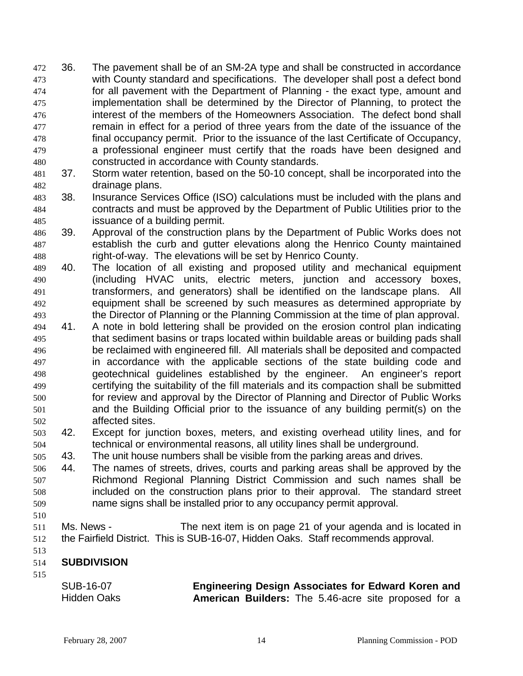- 472 36. The pavement shall be of an SM-2A type and shall be constructed in accordance with County standard and specifications. The developer shall post a defect bond for all pavement with the Department of Planning - the exact type, amount and implementation shall be determined by the Director of Planning, to protect the interest of the members of the Homeowners Association. The defect bond shall remain in effect for a period of three years from the date of the issuance of the final occupancy permit. Prior to the issuance of the last Certificate of Occupancy, a professional engineer must certify that the roads have been designed and constructed in accordance with County standards. 473 474 475 476 477 478 479 480
- 482 481 37. Storm water retention, based on the 50-10 concept, shall be incorporated into the drainage plans.
- 484 485 483 38. Insurance Services Office (ISO) calculations must be included with the plans and contracts and must be approved by the Department of Public Utilities prior to the issuance of a building permit.
- 487 488 486 39. Approval of the construction plans by the Department of Public Works does not establish the curb and gutter elevations along the Henrico County maintained right-of-way. The elevations will be set by Henrico County.
- 490 491 492 493 489 40. The location of all existing and proposed utility and mechanical equipment (including HVAC units, electric meters, junction and accessory boxes, transformers, and generators) shall be identified on the landscape plans. All equipment shall be screened by such measures as determined appropriate by the Director of Planning or the Planning Commission at the time of plan approval.
- 495 496 497 498 499 500 501 502 494 41. A note in bold lettering shall be provided on the erosion control plan indicating that sediment basins or traps located within buildable areas or building pads shall be reclaimed with engineered fill. All materials shall be deposited and compacted in accordance with the applicable sections of the state building code and geotechnical guidelines established by the engineer. An engineer's report certifying the suitability of the fill materials and its compaction shall be submitted for review and approval by the Director of Planning and Director of Public Works and the Building Official prior to the issuance of any building permit(s) on the affected sites.
- 504 503 42. Except for junction boxes, meters, and existing overhead utility lines, and for technical or environmental reasons, all utility lines shall be underground.
- 505 43. The unit house numbers shall be visible from the parking areas and drives.
- 507 508 509 506 44. The names of streets, drives, courts and parking areas shall be approved by the Richmond Regional Planning District Commission and such names shall be included on the construction plans prior to their approval. The standard street name signs shall be installed prior to any occupancy permit approval.
- 510

515

511 512 Ms. News - The next item is on page 21 of your agenda and is located in the Fairfield District. This is SUB-16-07, Hidden Oaks. Staff recommends approval.

#### 514 **SUBDIVISION**

SUB-16-07 Hidden Oaks **Engineering Design Associates for Edward Koren and American Builders:** The 5.46-acre site proposed for a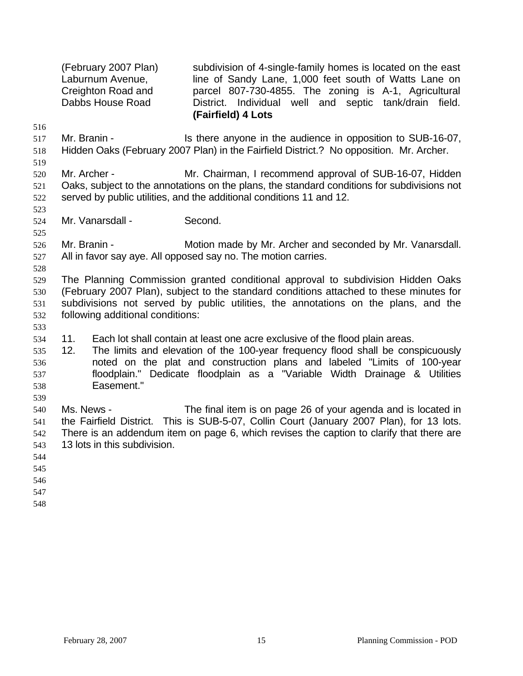(February 2007 Plan) Laburnum Avenue, Creighton Road and Dabbs House Road subdivision of 4-single-family homes is located on the east line of Sandy Lane, 1,000 feet south of Watts Lane on parcel 807-730-4855. The zoning is A-1, Agricultural District. Individual well and septic tank/drain field. **(Fairfield) 4 Lots** 

516

519

523

525

517 518 Mr. Branin - The Is there anyone in the audience in opposition to SUB-16-07, Hidden Oaks (February 2007 Plan) in the Fairfield District.? No opposition. Mr. Archer.

- 520 521 522 Mr. Archer - **Mr. Chairman, I recommend approval of SUB-16-07, Hidden** Oaks, subject to the annotations on the plans, the standard conditions for subdivisions not served by public utilities, and the additional conditions 11 and 12.
- 524 Mr. Vanarsdall - Second.
- 526 527 Mr. Branin - **Motion made by Mr. Archer and seconded by Mr. Vanarsdall.** All in favor say aye. All opposed say no. The motion carries.
- 528

533

529 530 531 532 The Planning Commission granted conditional approval to subdivision Hidden Oaks (February 2007 Plan), subject to the standard conditions attached to these minutes for subdivisions not served by public utilities, the annotations on the plans, and the following additional conditions:

- 534 11. Each lot shall contain at least one acre exclusive of the flood plain areas.
- 535 536 537 538 12. The limits and elevation of the 100-year frequency flood shall be conspicuously noted on the plat and construction plans and labeled "Limits of 100-year floodplain." Dedicate floodplain as a "Variable Width Drainage & Utilities Easement."
- 540 541 542 543 Ms. News - The final item is on page 26 of your agenda and is located in the Fairfield District. This is SUB-5-07, Collin Court (January 2007 Plan), for 13 lots. There is an addendum item on page 6, which revises the caption to clarify that there are 13 lots in this subdivision.
- 544

- 545
- 546
- 547
- 548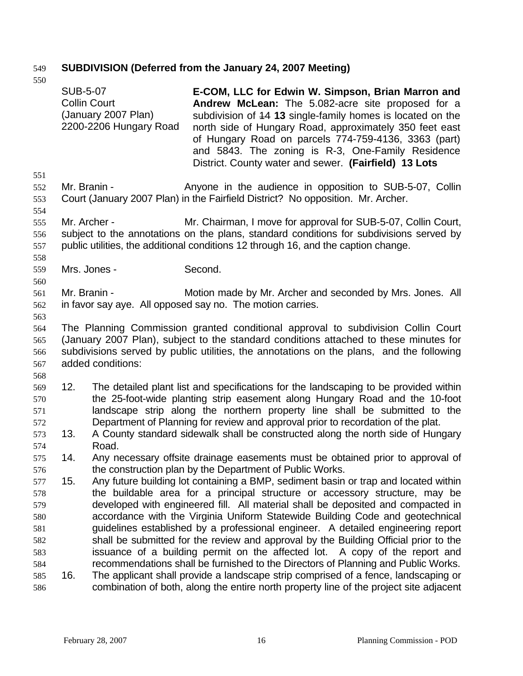## 549 **SUBDIVISION (Deferred from the January 24, 2007 Meeting)**

550 SUB-5-07 Collin Court (January 2007 Plan) 2200-2206 Hungary Road **E-COM, LLC for Edwin W. Simpson, Brian Marron and Andrew McLean:** The 5.082-acre site proposed for a subdivision of 14 **13** single-family homes is located on the north side of Hungary Road, approximately 350 feet east of Hungary Road on parcels 774-759-4136, 3363 (part) and 5843. The zoning is R-3, One-Family Residence District. County water and sewer. **(Fairfield) 13 Lots**  551 552 553 554 555 556 557 558 559 560 561 562 563 564 565 566 567 568 569 570 571 572 573 574 575 576 577 578 579 580 581 582 583 584 585 586 Mr. Branin - The Anyone in the audience in opposition to SUB-5-07, Collin Court (January 2007 Plan) in the Fairfield District? No opposition. Mr. Archer. Mr. Archer - **Mr. Chairman, I move for approval for SUB-5-07, Collin Court,** subject to the annotations on the plans, standard conditions for subdivisions served by public utilities, the additional conditions 12 through 16, and the caption change. Mrs. Jones - Second. Mr. Branin - **Motion made by Mr. Archer and seconded by Mrs. Jones.** All in favor say aye. All opposed say no. The motion carries. The Planning Commission granted conditional approval to subdivision Collin Court (January 2007 Plan), subject to the standard conditions attached to these minutes for subdivisions served by public utilities, the annotations on the plans, and the following added conditions: 12. The detailed plant list and specifications for the landscaping to be provided within the 25-foot-wide planting strip easement along Hungary Road and the 10-foot landscape strip along the northern property line shall be submitted to the Department of Planning for review and approval prior to recordation of the plat. 13. A County standard sidewalk shall be constructed along the north side of Hungary Road. 14. Any necessary offsite drainage easements must be obtained prior to approval of the construction plan by the Department of Public Works. 15. Any future building lot containing a BMP, sediment basin or trap and located within the buildable area for a principal structure or accessory structure, may be developed with engineered fill. All material shall be deposited and compacted in accordance with the Virginia Uniform Statewide Building Code and geotechnical guidelines established by a professional engineer. A detailed engineering report shall be submitted for the review and approval by the Building Official prior to the issuance of a building permit on the affected lot. A copy of the report and recommendations shall be furnished to the Directors of Planning and Public Works. 16. The applicant shall provide a landscape strip comprised of a fence, landscaping or combination of both, along the entire north property line of the project site adjacent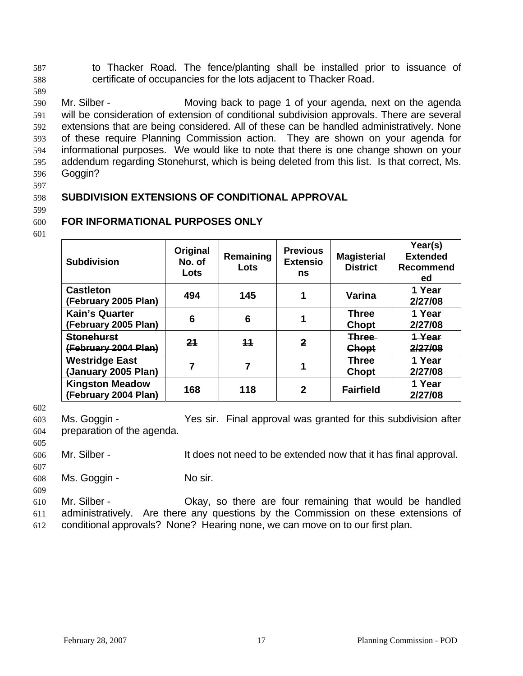to Thacker Road. The fence/planting shall be installed prior to issuance of certificate of occupancies for the lots adjacent to Thacker Road. 587 588

- 589 590 591 592 593 594 595 596 Mr. Silber - **Moving back to page 1 of your agenda**, next on the agenda will be consideration of extension of conditional subdivision approvals. There are several extensions that are being considered. All of these can be handled administratively. None of these require Planning Commission action. They are shown on your agenda for informational purposes. We would like to note that there is one change shown on your addendum regarding Stonehurst, which is being deleted from this list. Is that correct, Ms. Goggin?
- 597

#### 598 **SUBDIVISION EXTENSIONS OF CONDITIONAL APPROVAL**

599

#### 600 **FOR INFORMATIONAL PURPOSES ONLY**

601

| <b>Subdivision</b>                             | Original<br>No. of<br>Lots | Remaining<br>Lots | <b>Previous</b><br><b>Extensio</b><br>ns | <b>Magisterial</b><br><b>District</b> | Year(s)<br><b>Extended</b><br><b>Recommend</b><br>ed |
|------------------------------------------------|----------------------------|-------------------|------------------------------------------|---------------------------------------|------------------------------------------------------|
| <b>Castleton</b><br>(February 2005 Plan)       | 494                        | 145               | 1                                        | Varina                                | 1 Year<br>2/27/08                                    |
| <b>Kain's Quarter</b><br>(February 2005 Plan)  | 6                          | $6\phantom{1}6$   |                                          | <b>Three</b><br>Chopt                 | 1 Year<br>2/27/08                                    |
| <b>Stoneburst</b><br>(February 2004 Plan)      | 24                         | 44                | $\mathbf{2}$                             | <b>Three</b><br><b>Chopt</b>          | 1 Year<br>2/27/08                                    |
| <b>Westridge East</b><br>(January 2005 Plan)   |                            | 7                 |                                          | <b>Three</b><br><b>Chopt</b>          | 1 Year<br>2/27/08                                    |
| <b>Kingston Meadow</b><br>(February 2004 Plan) | 168                        | 118               | $\mathbf{2}$                             | <b>Fairfield</b>                      | 1 Year<br>2/27/08                                    |

602

603 604 Ms. Goggin - Yes sir. Final approval was granted for this subdivision after preparation of the agenda.

606 Mr. Silber - It does not need to be extended now that it has final approval.

607 608

609

605

Ms. Goggin - No sir.

610 611 612 Mr. Silber - Okay, so there are four remaining that would be handled administratively. Are there any questions by the Commission on these extensions of conditional approvals? None? Hearing none, we can move on to our first plan.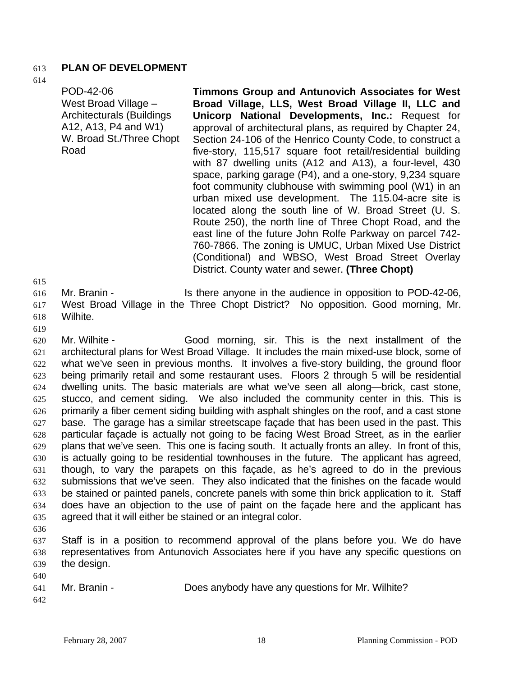### 613 **PLAN OF DEVELOPMENT**

### 614

POD-42-06 West Broad Village – Architecturals (Buildings A12, A13, P4 and W1) W. Broad St./Three Chopt Road

**Timmons Group and Antunovich Associates for West Broad Village, LLS, West Broad Village II, LLC and Unicorp National Developments, Inc.:** Request for approval of architectural plans, as required by Chapter 24, Section 24-106 of the Henrico County Code, to construct a five-story, 115,517 square foot retail/residential building with 87 dwelling units (A12 and A13), a four-level, 430 space, parking garage (P4), and a one-story, 9,234 square foot community clubhouse with swimming pool (W1) in an urban mixed use development. The 115.04-acre site is located along the south line of W. Broad Street (U. S. Route 250), the north line of Three Chopt Road, and the east line of the future John Rolfe Parkway on parcel 742- 760-7866. The zoning is UMUC, Urban Mixed Use District (Conditional) and WBSO, West Broad Street Overlay District. County water and sewer. **(Three Chopt)** 

615

616 Mr. Branin - The Is there anyone in the audience in opposition to POD-42-06,

- 617 618 West Broad Village in the Three Chopt District? No opposition. Good morning, Mr. Wilhite.
- 619

620 621 622 623 624 625 626 627 628 629 630 631 632 633 634 635 Mr. Wilhite - Good morning, sir. This is the next installment of the architectural plans for West Broad Village. It includes the main mixed-use block, some of what we've seen in previous months. It involves a five-story building, the ground floor being primarily retail and some restaurant uses. Floors 2 through 5 will be residential dwelling units. The basic materials are what we've seen all along—brick, cast stone, stucco, and cement siding. We also included the community center in this. This is primarily a fiber cement siding building with asphalt shingles on the roof, and a cast stone base. The garage has a similar streetscape façade that has been used in the past. This particular façade is actually not going to be facing West Broad Street, as in the earlier plans that we've seen. This one is facing south. It actually fronts an alley. In front of this, is actually going to be residential townhouses in the future. The applicant has agreed, though, to vary the parapets on this façade, as he's agreed to do in the previous submissions that we've seen. They also indicated that the finishes on the facade would be stained or painted panels, concrete panels with some thin brick application to it. Staff does have an objection to the use of paint on the façade here and the applicant has agreed that it will either be stained or an integral color.

636

640

637 638 639 Staff is in a position to recommend approval of the plans before you. We do have representatives from Antunovich Associates here if you have any specific questions on the design.

641 642 Mr. Branin - Does anybody have any questions for Mr. Wilhite?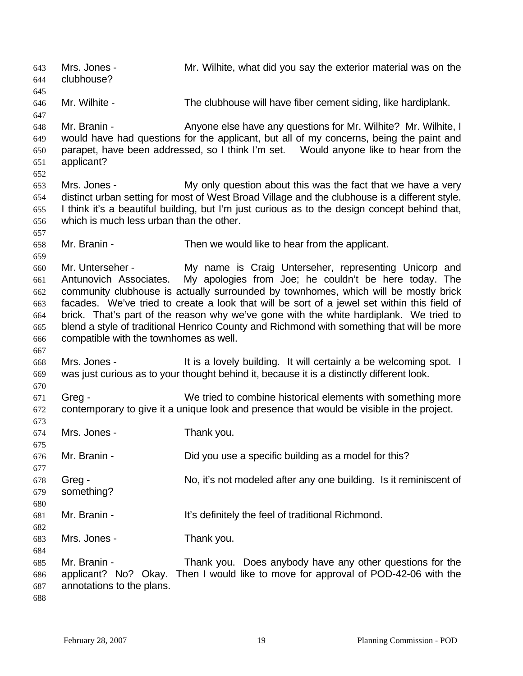Mrs. Jones - Mr. Wilhite, what did you say the exterior material was on the clubhouse? 643 644 645 646 647 648 649 650 651 652 653 654 655 656 657 658 659 660 661 662 663 664 665 666 667 668 669 670 671 672 673 674 675 676 677 678 679 680 681 682 683 684 685 686 687 688 Mr. Wilhite - The clubhouse will have fiber cement siding, like hardiplank. Mr. Branin - Anyone else have any questions for Mr. Wilhite? Mr. Wilhite, I would have had questions for the applicant, but all of my concerns, being the paint and parapet, have been addressed, so I think I'm set. Would anyone like to hear from the applicant? Mrs. Jones - My only question about this was the fact that we have a very distinct urban setting for most of West Broad Village and the clubhouse is a different style. I think it's a beautiful building, but I'm just curious as to the design concept behind that, which is much less urban than the other. Mr. Branin - Then we would like to hear from the applicant. Mr. Unterseher - My name is Craig Unterseher, representing Unicorp and Antunovich Associates. My apologies from Joe; he couldn't be here today. The community clubhouse is actually surrounded by townhomes, which will be mostly brick facades. We've tried to create a look that will be sort of a jewel set within this field of brick. That's part of the reason why we've gone with the white hardiplank. We tried to blend a style of traditional Henrico County and Richmond with something that will be more compatible with the townhomes as well. Mrs. Jones - It is a lovely building. It will certainly a be welcoming spot. I was just curious as to your thought behind it, because it is a distinctly different look. Greg - We tried to combine historical elements with something more contemporary to give it a unique look and presence that would be visible in the project. Mrs. Jones - Thank you. Mr. Branin - Did you use a specific building as a model for this? Greg - No, it's not modeled after any one building. Is it reminiscent of something? Mr. Branin - The Muslim Hi's definitely the feel of traditional Richmond. Mrs. Jones - Thank you. Mr. Branin - Thank you. Does anybody have any other questions for the applicant? No? Okay. Then I would like to move for approval of POD-42-06 with the annotations to the plans.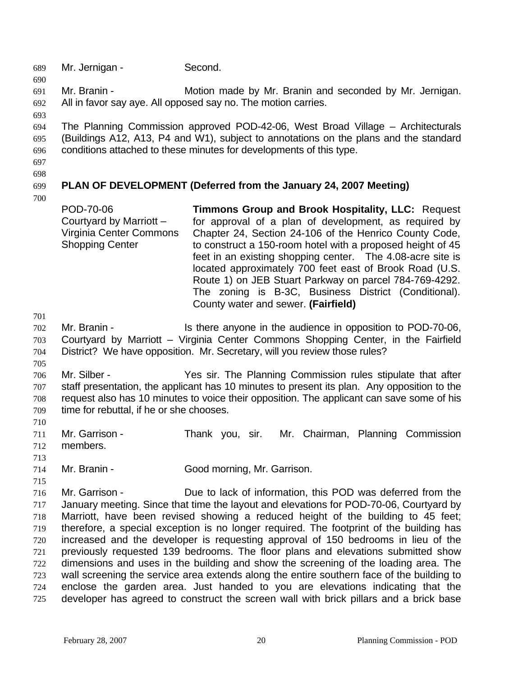689 Mr. Jernigan - Second.

691 692 Mr. Branin - Motion made by Mr. Branin and seconded by Mr. Jernigan. All in favor say aye. All opposed say no. The motion carries.

693

690

694 695 696 The Planning Commission approved POD-42-06, West Broad Village – Architecturals (Buildings A12, A13, P4 and W1), subject to annotations on the plans and the standard conditions attached to these minutes for developments of this type.

- 697
- 698

#### 699 **PLAN OF DEVELOPMENT (Deferred from the January 24, 2007 Meeting)**

700

POD-70-06 Courtyard by Marriott – Virginia Center Commons Shopping Center **Timmons Group and Brook Hospitality, LLC:** Request for approval of a plan of development, as required by Chapter 24, Section 24-106 of the Henrico County Code, to construct a 150-room hotel with a proposed height of 45 feet in an existing shopping center. The 4.08-acre site is located approximately 700 feet east of Brook Road (U.S. Route 1) on JEB Stuart Parkway on parcel 784-769-4292. The zoning is B-3C, Business District (Conditional). County water and sewer. **(Fairfield)** 

701

705

702 703 704 Mr. Branin - The Is there anyone in the audience in opposition to POD-70-06, Courtyard by Marriott – Virginia Center Commons Shopping Center, in the Fairfield District? We have opposition. Mr. Secretary, will you review those rules?

706 707 708 709 Mr. Silber - The Silber - The Planning Commission rules stipulate that after staff presentation, the applicant has 10 minutes to present its plan. Any opposition to the request also has 10 minutes to voice their opposition. The applicant can save some of his time for rebuttal, if he or she chooses.

710 711 712 Mr. Garrison - Thank you, sir. Mr. Chairman, Planning Commission members.

- 713
- 714 Mr. Branin - Good morning, Mr. Garrison.
- 715

716 717 718 719 720 721 722 723 724 725 Mr. Garrison - Due to lack of information, this POD was deferred from the January meeting. Since that time the layout and elevations for POD-70-06, Courtyard by Marriott, have been revised showing a reduced height of the building to 45 feet; therefore, a special exception is no longer required. The footprint of the building has increased and the developer is requesting approval of 150 bedrooms in lieu of the previously requested 139 bedrooms. The floor plans and elevations submitted show dimensions and uses in the building and show the screening of the loading area. The wall screening the service area extends along the entire southern face of the building to enclose the garden area. Just handed to you are elevations indicating that the developer has agreed to construct the screen wall with brick pillars and a brick base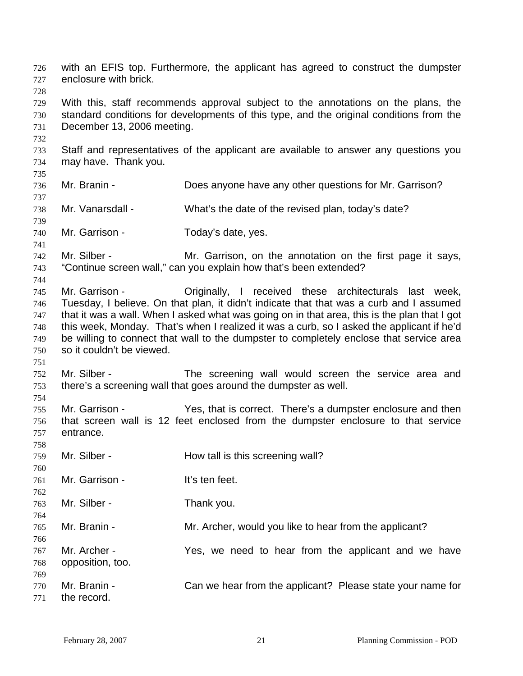with an EFIS top. Furthermore, the applicant has agreed to construct the dumpster enclosure with brick. 726 727 728 729 730 731 732 733 734 735 736 737 738 739 740 741 742 743 744 745 746 747 748 749 750 751 752 753 754 755 756 757 758 759 760 761 762 763 764 765 766 767 768 769 770 771 With this, staff recommends approval subject to the annotations on the plans, the standard conditions for developments of this type, and the original conditions from the December 13, 2006 meeting. Staff and representatives of the applicant are available to answer any questions you may have. Thank you. Mr. Branin - **Does anyone have any other questions for Mr. Garrison?** Mr. Vanarsdall - What's the date of the revised plan, today's date? Mr. Garrison - Today's date, yes. Mr. Silber - Mr. Garrison, on the annotation on the first page it says, "Continue screen wall," can you explain how that's been extended? Mr. Garrison - Criginally, I received these architecturals last week, Tuesday, I believe. On that plan, it didn't indicate that that was a curb and I assumed that it was a wall. When I asked what was going on in that area, this is the plan that I got this week, Monday. That's when I realized it was a curb, so I asked the applicant if he'd be willing to connect that wall to the dumpster to completely enclose that service area so it couldn't be viewed. Mr. Silber - The screening wall would screen the service area and there's a screening wall that goes around the dumpster as well. Mr. Garrison - Yes, that is correct. There's a dumpster enclosure and then that screen wall is 12 feet enclosed from the dumpster enclosure to that service entrance. Mr. Silber - **How tall is this screening wall?** Mr. Garrison - It's ten feet. Mr. Silber - Thank you. Mr. Branin - The Mr. Archer, would you like to hear from the applicant? Mr. Archer - The Yes, we need to hear from the applicant and we have opposition, too. Mr. Branin - Can we hear from the applicant? Please state your name for the record.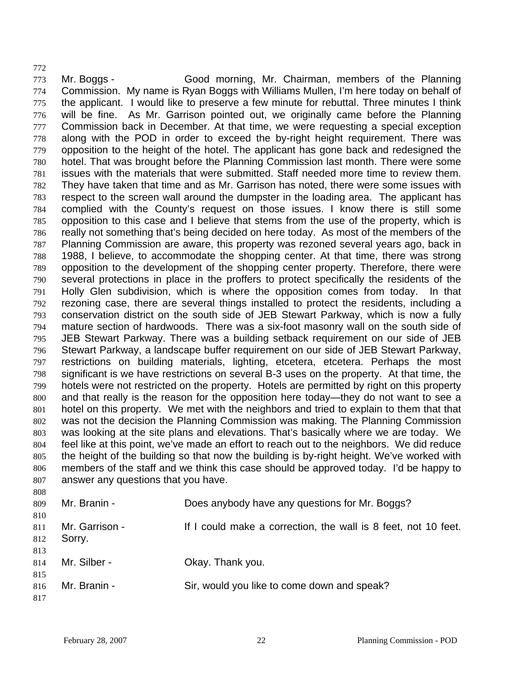772 773 774 775 776 777 778 779 780 781 782 783 784 785 786 787 788 789 790 791 792 793 794 795 796 797 798 799 800 801 802 803 804 805 806 807 808 Mr. Boggs - Good morning, Mr. Chairman, members of the Planning Commission. My name is Ryan Boggs with Williams Mullen, I'm here today on behalf of the applicant. I would like to preserve a few minute for rebuttal. Three minutes I think will be fine. As Mr. Garrison pointed out, we originally came before the Planning Commission back in December. At that time, we were requesting a special exception along with the POD in order to exceed the by-right height requirement. There was opposition to the height of the hotel. The applicant has gone back and redesigned the hotel. That was brought before the Planning Commission last month. There were some issues with the materials that were submitted. Staff needed more time to review them. They have taken that time and as Mr. Garrison has noted, there were some issues with respect to the screen wall around the dumpster in the loading area. The applicant has complied with the County's request on those issues. I know there is still some opposition to this case and I believe that stems from the use of the property, which is really not something that's being decided on here today. As most of the members of the Planning Commission are aware, this property was rezoned several years ago, back in 1988, I believe, to accommodate the shopping center. At that time, there was strong opposition to the development of the shopping center property. Therefore, there were several protections in place in the proffers to protect specifically the residents of the Holly Glen subdivision, which is where the opposition comes from today. In that rezoning case, there are several things installed to protect the residents, including a conservation district on the south side of JEB Stewart Parkway, which is now a fully mature section of hardwoods. There was a six-foot masonry wall on the south side of JEB Stewart Parkway. There was a building setback requirement on our side of JEB Stewart Parkway, a landscape buffer requirement on our side of JEB Stewart Parkway, restrictions on building materials, lighting, etcetera, etcetera. Perhaps the most significant is we have restrictions on several B-3 uses on the property. At that time, the hotels were not restricted on the property. Hotels are permitted by right on this property and that really is the reason for the opposition here today—they do not want to see a hotel on this property. We met with the neighbors and tried to explain to them that that was not the decision the Planning Commission was making. The Planning Commission was looking at the site plans and elevations. That's basically where we are today. We feel like at this point, we've made an effort to reach out to the neighbors. We did reduce the height of the building so that now the building is by-right height. We've worked with members of the staff and we think this case should be approved today. I'd be happy to answer any questions that you have.

| <u>ovo</u><br>809 | Mr. Branin -   | Does anybody have any questions for Mr. Boggs?                 |
|-------------------|----------------|----------------------------------------------------------------|
| 810<br>811        | Mr. Garrison - | If I could make a correction, the wall is 8 feet, not 10 feet. |
| 812<br>813        | Sorry.         |                                                                |
| 814<br>815        | Mr. Silber -   | Okay. Thank you.                                               |
| 816<br>817        | Mr. Branin -   | Sir, would you like to come down and speak?                    |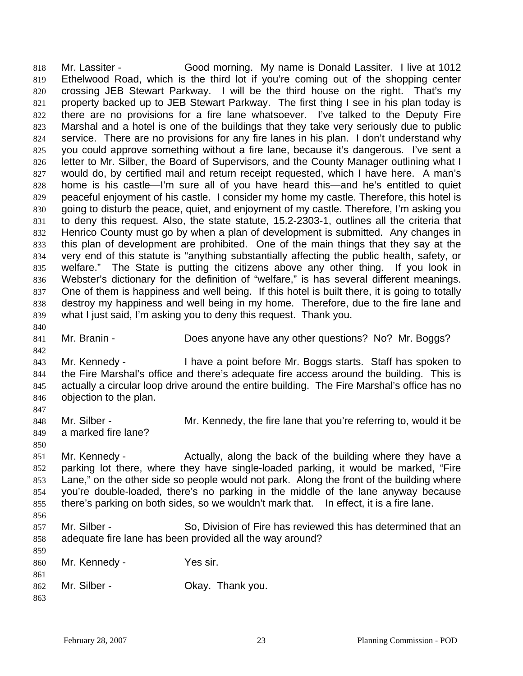Mr. Lassiter - Good morning. My name is Donald Lassiter. I live at 1012 Ethelwood Road, which is the third lot if you're coming out of the shopping center crossing JEB Stewart Parkway. I will be the third house on the right. That's my property backed up to JEB Stewart Parkway. The first thing I see in his plan today is there are no provisions for a fire lane whatsoever. I've talked to the Deputy Fire Marshal and a hotel is one of the buildings that they take very seriously due to public service. There are no provisions for any fire lanes in his plan. I don't understand why you could approve something without a fire lane, because it's dangerous. I've sent a letter to Mr. Silber, the Board of Supervisors, and the County Manager outlining what I would do, by certified mail and return receipt requested, which I have here. A man's home is his castle—I'm sure all of you have heard this—and he's entitled to quiet peaceful enjoyment of his castle. I consider my home my castle. Therefore, this hotel is going to disturb the peace, quiet, and enjoyment of my castle. Therefore, I'm asking you to deny this request. Also, the state statute, 15.2-2303-1, outlines all the criteria that Henrico County must go by when a plan of development is submitted. Any changes in this plan of development are prohibited. One of the main things that they say at the very end of this statute is "anything substantially affecting the public health, safety, or welfare." The State is putting the citizens above any other thing. If you look in Webster's dictionary for the definition of "welfare," is has several different meanings. One of them is happiness and well being. If this hotel is built there, it is going to totally destroy my happiness and well being in my home. Therefore, due to the fire lane and what I just said, I'm asking you to deny this request. Thank you. 818 819 820 821 822 823 824 825 826 827 828 829 830 831 832 833 834 835 836 837 838 839 840 841 842 843 844 845 846 847 Mr. Branin - Does anyone have any other questions? No? Mr. Boggs? Mr. Kennedy - I have a point before Mr. Boggs starts. Staff has spoken to the Fire Marshal's office and there's adequate fire access around the building. This is actually a circular loop drive around the entire building. The Fire Marshal's office has no objection to the plan.

- 848 849 Mr. Silber - The Mr. Kennedy, the fire lane that you're referring to, would it be a marked fire lane?
- 850

851 852 853 854 855 Mr. Kennedy - The Actually, along the back of the building where they have a parking lot there, where they have single-loaded parking, it would be marked, "Fire Lane," on the other side so people would not park. Along the front of the building where you're double-loaded, there's no parking in the middle of the lane anyway because there's parking on both sides, so we wouldn't mark that. In effect, it is a fire lane.

- 856
- 857 858 Mr. Silber - So, Division of Fire has reviewed this has determined that an adequate fire lane has been provided all the way around?

| 859 |               |          |
|-----|---------------|----------|
| 860 | Mr. Kennedy - | Yes sir. |
| 861 |               |          |

| Mr. Silber -<br>862 |  | Okay. Thank you. |
|---------------------|--|------------------|
|---------------------|--|------------------|

| ۰.<br>I<br>۰.<br>۰.<br>۰.<br>۰.<br>×<br>×<br>$\sim$ |
|-----------------------------------------------------|
|                                                     |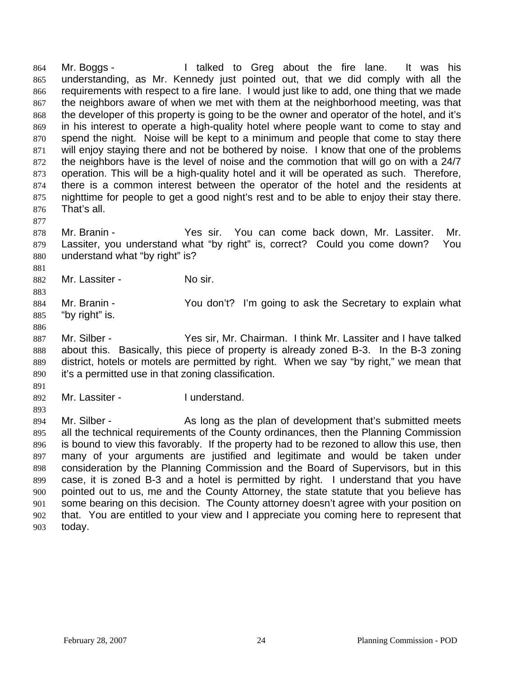Mr. Boggs - The alked to Greg about the fire lane. It was his understanding, as Mr. Kennedy just pointed out, that we did comply with all the requirements with respect to a fire lane. I would just like to add, one thing that we made the neighbors aware of when we met with them at the neighborhood meeting, was that the developer of this property is going to be the owner and operator of the hotel, and it's in his interest to operate a high-quality hotel where people want to come to stay and spend the night. Noise will be kept to a minimum and people that come to stay there will enjoy staying there and not be bothered by noise. I know that one of the problems the neighbors have is the level of noise and the commotion that will go on with a 24/7 operation. This will be a high-quality hotel and it will be operated as such. Therefore, there is a common interest between the operator of the hotel and the residents at nighttime for people to get a good night's rest and to be able to enjoy their stay there. That's all. 864 865 866 867 868 869 870 871 872 873 874 875 876

- 878 879 880 Mr. Branin - Yes sir. You can come back down, Mr. Lassiter. Mr. Lassiter, you understand what "by right" is, correct? Could you come down? You understand what "by right" is?
- 882 Mr. Lassiter - No sir.

877

881

883

- 884 885 Mr. Branin - The You don't? I'm going to ask the Secretary to explain what "by right" is.
- 886 887 888 889 Mr. Silber - Yes sir, Mr. Chairman. I think Mr. Lassiter and I have talked about this. Basically, this piece of property is already zoned B-3. In the B-3 zoning district, hotels or motels are permitted by right. When we say "by right," we mean that it's a permitted use in that zoning classification.
- 890 891
- 892 Mr. Lassiter - I understand.
- 894 895 896 897 898 899 900 901 902 903 Mr. Silber - The As long as the plan of development that's submitted meets all the technical requirements of the County ordinances, then the Planning Commission is bound to view this favorably. If the property had to be rezoned to allow this use, then many of your arguments are justified and legitimate and would be taken under consideration by the Planning Commission and the Board of Supervisors, but in this case, it is zoned B-3 and a hotel is permitted by right. I understand that you have pointed out to us, me and the County Attorney, the state statute that you believe has some bearing on this decision. The County attorney doesn't agree with your position on that. You are entitled to your view and I appreciate you coming here to represent that today.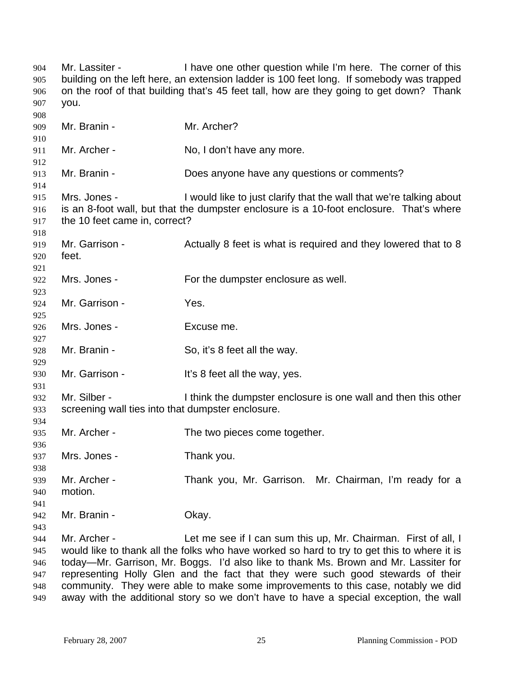Mr. Lassiter - The state one other question while I'm here. The corner of this building on the left here, an extension ladder is 100 feet long. If somebody was trapped on the roof of that building that's 45 feet tall, how are they going to get down? Thank you. 904 905 906 907 908 909 910 911 912 913 914 915 916 917 918 919 920 921 922 923 924 925 926 927 928 929 930 931 932 933 934 935 936 937 938 939 940 941 942 943 944 945 946 947 948 949 Mr. Branin - Mr. Archer? Mr. Archer - No, I don't have any more. Mr. Branin - Does anyone have any questions or comments? Mrs. Jones - I would like to just clarify that the wall that we're talking about is an 8-foot wall, but that the dumpster enclosure is a 10-foot enclosure. That's where the 10 feet came in, correct? Mr. Garrison - <br>Actually 8 feet is what is required and they lowered that to 8 feet. Mrs. Jones - For the dumpster enclosure as well. Mr. Garrison - Yes. Mrs. Jones - Excuse me. Mr. Branin - So, it's 8 feet all the way. Mr. Garrison - The Millie State of the way, yes. Mr. Silber - Think the dumpster enclosure is one wall and then this other screening wall ties into that dumpster enclosure. Mr. Archer - The two pieces come together. Mrs. Jones - Thank you. Mr. Archer - Thank you, Mr. Garrison. Mr. Chairman, I'm ready for a motion. Mr. Branin - Ckay. Mr. Archer - Let me see if I can sum this up, Mr. Chairman. First of all, I would like to thank all the folks who have worked so hard to try to get this to where it is today—Mr. Garrison, Mr. Boggs. I'd also like to thank Ms. Brown and Mr. Lassiter for representing Holly Glen and the fact that they were such good stewards of their community. They were able to make some improvements to this case, notably we did away with the additional story so we don't have to have a special exception, the wall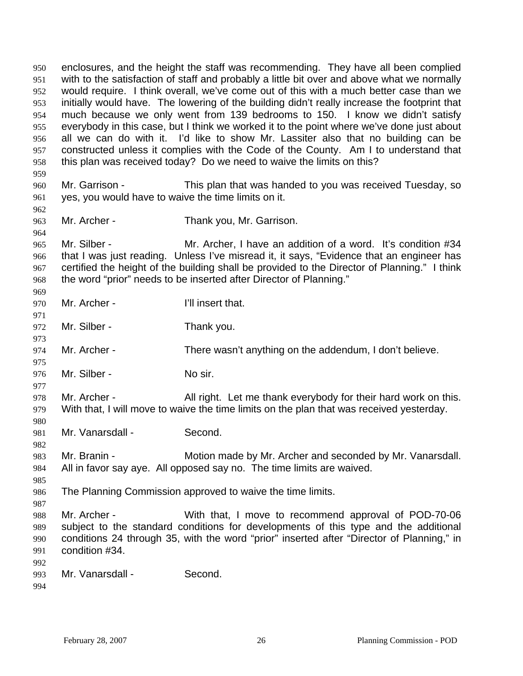enclosures, and the height the staff was recommending. They have all been complied with to the satisfaction of staff and probably a little bit over and above what we normally would require. I think overall, we've come out of this with a much better case than we initially would have. The lowering of the building didn't really increase the footprint that much because we only went from 139 bedrooms to 150. I know we didn't satisfy everybody in this case, but I think we worked it to the point where we've done just about all we can do with it. I'd like to show Mr. Lassiter also that no building can be constructed unless it complies with the Code of the County. Am I to understand that this plan was received today? Do we need to waive the limits on this? 950 951 952 953 954 955 956 957 958 959 960 961 962 963 964 965 966 967 968 969 970 971 972 973 974 975 976 977 978 979 980 981 982 983 984 985 986 987 988 989 990 991 992 993 994 Mr. Garrison - This plan that was handed to you was received Tuesday, so yes, you would have to waive the time limits on it. Mr. Archer - Thank you, Mr. Garrison. Mr. Silber - Mr. Archer, I have an addition of a word. It's condition #34 that I was just reading. Unless I've misread it, it says, "Evidence that an engineer has certified the height of the building shall be provided to the Director of Planning." I think the word "prior" needs to be inserted after Director of Planning." Mr. Archer - **I'll insert that.** Mr. Silber - Thank you. Mr. Archer - There wasn't anything on the addendum, I don't believe. Mr. Silber - No sir. Mr. Archer - All right. Let me thank everybody for their hard work on this. With that, I will move to waive the time limits on the plan that was received yesterday. Mr. Vanarsdall - Second. Mr. Branin - **Motion made by Mr. Archer and seconded by Mr. Vanarsdall.** All in favor say aye. All opposed say no. The time limits are waived. The Planning Commission approved to waive the time limits. Mr. Archer - With that, I move to recommend approval of POD-70-06 subject to the standard conditions for developments of this type and the additional conditions 24 through 35, with the word "prior" inserted after "Director of Planning," in condition #34. Mr. Vanarsdall - Second.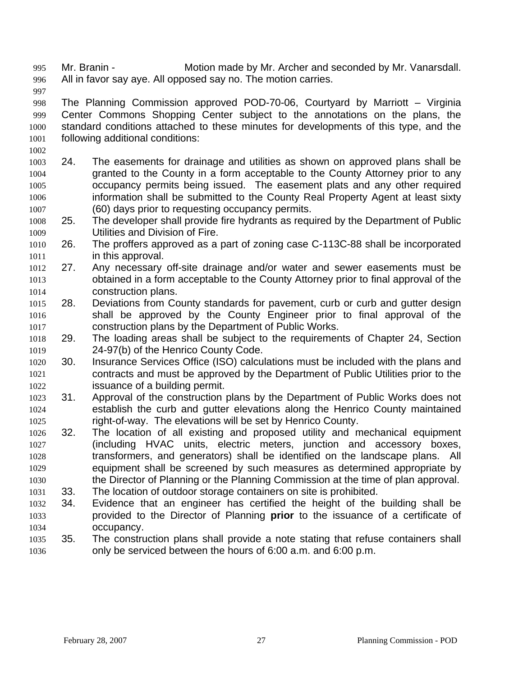Mr. Branin - Motion made by Mr. Archer and seconded by Mr. Vanarsdall. All in favor say aye. All opposed say no. The motion carries. 995 996

997

998 999 1000 1001 The Planning Commission approved POD-70-06, Courtyard by Marriott – Virginia Center Commons Shopping Center subject to the annotations on the plans, the standard conditions attached to these minutes for developments of this type, and the following additional conditions:

- 1002
- 1004 1005 1006 1007 1003 24. The easements for drainage and utilities as shown on approved plans shall be granted to the County in a form acceptable to the County Attorney prior to any occupancy permits being issued. The easement plats and any other required information shall be submitted to the County Real Property Agent at least sixty (60) days prior to requesting occupancy permits.
- 1009 1008 25. The developer shall provide fire hydrants as required by the Department of Public Utilities and Division of Fire.
- 1011 1010 26. The proffers approved as a part of zoning case C-113C-88 shall be incorporated in this approval.
- 1013 1014 1012 27. Any necessary off-site drainage and/or water and sewer easements must be obtained in a form acceptable to the County Attorney prior to final approval of the construction plans.
- 1016 1017 1015 28. Deviations from County standards for pavement, curb or curb and gutter design shall be approved by the County Engineer prior to final approval of the construction plans by the Department of Public Works.
- 1019 1018 29. The loading areas shall be subject to the requirements of Chapter 24, Section 24-97(b) of the Henrico County Code.
- 1021 1022 1020 30. Insurance Services Office (ISO) calculations must be included with the plans and contracts and must be approved by the Department of Public Utilities prior to the issuance of a building permit.
- 1024 1025 1023 31. Approval of the construction plans by the Department of Public Works does not establish the curb and gutter elevations along the Henrico County maintained right-of-way. The elevations will be set by Henrico County.
- 1027 1028 1029 1030 1026 32. The location of all existing and proposed utility and mechanical equipment (including HVAC units, electric meters, junction and accessory boxes, transformers, and generators) shall be identified on the landscape plans. All equipment shall be screened by such measures as determined appropriate by the Director of Planning or the Planning Commission at the time of plan approval. 1031 33. The location of outdoor storage containers on site is prohibited.
- 1033 1034 1032 34. Evidence that an engineer has certified the height of the building shall be provided to the Director of Planning **prior** to the issuance of a certificate of occupancy.
- 1036 1035 35. The construction plans shall provide a note stating that refuse containers shall only be serviced between the hours of 6:00 a.m. and 6:00 p.m.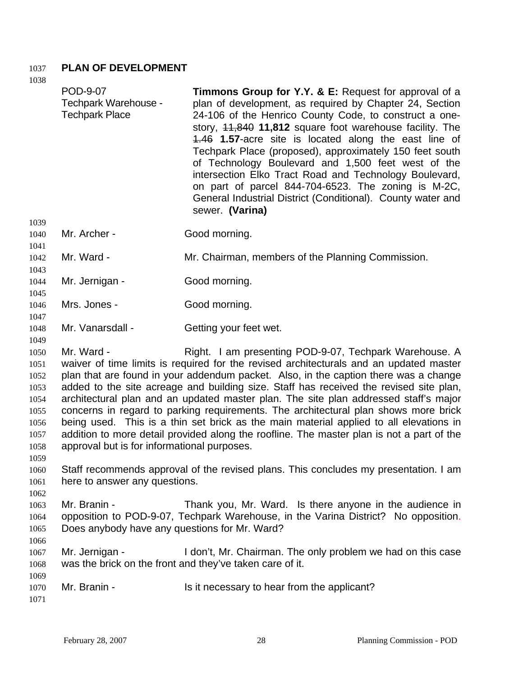# 1037 **PLAN OF DEVELOPMENT**

| 1038                                                                 |                                                               |                                                                                                                                                                                                                                                                                                                                                                                                                                                                                                                                                                                                                                                                                                          |
|----------------------------------------------------------------------|---------------------------------------------------------------|----------------------------------------------------------------------------------------------------------------------------------------------------------------------------------------------------------------------------------------------------------------------------------------------------------------------------------------------------------------------------------------------------------------------------------------------------------------------------------------------------------------------------------------------------------------------------------------------------------------------------------------------------------------------------------------------------------|
| 1039                                                                 | POD-9-07<br>Techpark Warehouse -<br><b>Techpark Place</b>     | <b>Timmons Group for Y.Y. &amp; E:</b> Request for approval of a<br>plan of development, as required by Chapter 24, Section<br>24-106 of the Henrico County Code, to construct a one-<br>story, 44,840 11,812 square foot warehouse facility. The<br>1.46 1.57-acre site is located along the east line of<br>Techpark Place (proposed), approximately 150 feet south<br>of Technology Boulevard and 1,500 feet west of the<br>intersection Elko Tract Road and Technology Boulevard,<br>on part of parcel 844-704-6523. The zoning is M-2C,<br>General Industrial District (Conditional). County water and<br>sewer. (Varina)                                                                           |
| 1040<br>1041                                                         | Mr. Archer -                                                  | Good morning.                                                                                                                                                                                                                                                                                                                                                                                                                                                                                                                                                                                                                                                                                            |
| 1042<br>1043                                                         | Mr. Ward -                                                    | Mr. Chairman, members of the Planning Commission.                                                                                                                                                                                                                                                                                                                                                                                                                                                                                                                                                                                                                                                        |
| 1044<br>1045                                                         | Mr. Jernigan -                                                | Good morning.                                                                                                                                                                                                                                                                                                                                                                                                                                                                                                                                                                                                                                                                                            |
| 1046<br>1047                                                         | Mrs. Jones -                                                  | Good morning.                                                                                                                                                                                                                                                                                                                                                                                                                                                                                                                                                                                                                                                                                            |
| 1048<br>1049                                                         | Mr. Vanarsdall -                                              | Getting your feet wet.                                                                                                                                                                                                                                                                                                                                                                                                                                                                                                                                                                                                                                                                                   |
| 1050<br>1051<br>1052<br>1053<br>1054<br>1055<br>1056<br>1057<br>1058 | Mr. Ward -<br>approval but is for informational purposes.     | Right. I am presenting POD-9-07, Techpark Warehouse. A<br>waiver of time limits is required for the revised architecturals and an updated master<br>plan that are found in your addendum packet. Also, in the caption there was a change<br>added to the site acreage and building size. Staff has received the revised site plan,<br>architectural plan and an updated master plan. The site plan addressed staff's major<br>concerns in regard to parking requirements. The architectural plan shows more brick<br>being used. This is a thin set brick as the main material applied to all elevations in<br>addition to more detail provided along the roofline. The master plan is not a part of the |
| 1059<br>1060<br>1061<br>1062                                         | here to answer any questions.                                 | Staff recommends approval of the revised plans. This concludes my presentation. I am                                                                                                                                                                                                                                                                                                                                                                                                                                                                                                                                                                                                                     |
| 1063<br>1064<br>1065                                                 | Mr. Branin -<br>Does anybody have any questions for Mr. Ward? | Thank you, Mr. Ward. Is there anyone in the audience in<br>opposition to POD-9-07, Techpark Warehouse, in the Varina District? No opposition.                                                                                                                                                                                                                                                                                                                                                                                                                                                                                                                                                            |
| 1066<br>1067<br>1068                                                 | Mr. Jernigan -                                                | I don't, Mr. Chairman. The only problem we had on this case<br>was the brick on the front and they've taken care of it.                                                                                                                                                                                                                                                                                                                                                                                                                                                                                                                                                                                  |

1071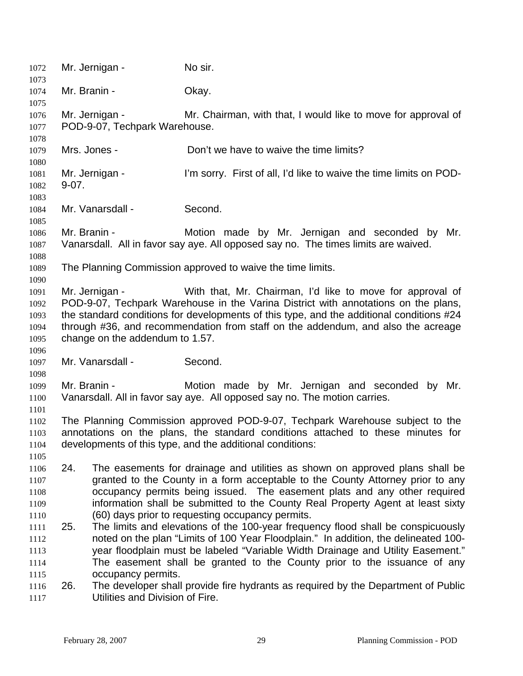1072 Mr. Jernigan - No sir. 1073 1074 1075 1076 1077 1078 1079 1080 1081 1082 1083 1084 1085 1086 1087 1088 1089 1090 1091 1092 1093 1094 1095 1096 1097 1098 1099 1100 1101 1102 1103 1104 1105 1107 1108 1109 1110 1112 1113 1114 1115 1117 Mr. Branin - Ckay. Mr. Jernigan - Mr. Chairman, with that, I would like to move for approval of POD-9-07, Techpark Warehouse. Mrs. Jones - **Don't we have to waive the time limits?** Mr. Jernigan - I'm sorry. First of all, I'd like to waive the time limits on POD-9-07. Mr. Vanarsdall - Second. Mr. Branin - The Motion made by Mr. Jernigan and seconded by Mr. Vanarsdall. All in favor say aye. All opposed say no. The times limits are waived. The Planning Commission approved to waive the time limits. Mr. Jernigan - With that, Mr. Chairman, I'd like to move for approval of POD-9-07, Techpark Warehouse in the Varina District with annotations on the plans, the standard conditions for developments of this type, and the additional conditions #24 through #36, and recommendation from staff on the addendum, and also the acreage change on the addendum to 1.57. Mr. Vanarsdall - Second. Mr. Branin - The Motion made by Mr. Jernigan and seconded by Mr. Vanarsdall. All in favor say aye. All opposed say no. The motion carries. The Planning Commission approved POD-9-07, Techpark Warehouse subject to the annotations on the plans, the standard conditions attached to these minutes for developments of this type, and the additional conditions: 1106 24. The easements for drainage and utilities as shown on approved plans shall be granted to the County in a form acceptable to the County Attorney prior to any occupancy permits being issued. The easement plats and any other required information shall be submitted to the County Real Property Agent at least sixty (60) days prior to requesting occupancy permits. 1111 25. The limits and elevations of the 100-year frequency flood shall be conspicuously noted on the plan "Limits of 100 Year Floodplain." In addition, the delineated 100 year floodplain must be labeled "Variable Width Drainage and Utility Easement." The easement shall be granted to the County prior to the issuance of any occupancy permits. 1116 26. The developer shall provide fire hydrants as required by the Department of Public Utilities and Division of Fire.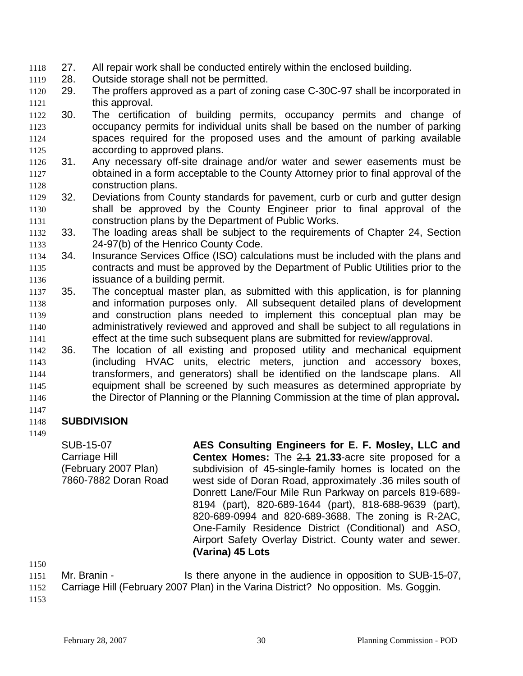- 1118 27. All repair work shall be conducted entirely within the enclosed building.
- 1119 28. Outside storage shall not be permitted.
- 1120 1121 29. The proffers approved as a part of zoning case C-30C-97 shall be incorporated in this approval.
- 1122 1123 1124 1125 30. The certification of building permits, occupancy permits and change of occupancy permits for individual units shall be based on the number of parking spaces required for the proposed uses and the amount of parking available according to approved plans.
- 1126 1127 1128 31. Any necessary off-site drainage and/or water and sewer easements must be obtained in a form acceptable to the County Attorney prior to final approval of the construction plans.
- 1129 1130 1131 32. Deviations from County standards for pavement, curb or curb and gutter design shall be approved by the County Engineer prior to final approval of the construction plans by the Department of Public Works.
- 1132 1133 33. The loading areas shall be subject to the requirements of Chapter 24, Section 24-97(b) of the Henrico County Code.
- 1134 1135 1136 34. Insurance Services Office (ISO) calculations must be included with the plans and contracts and must be approved by the Department of Public Utilities prior to the issuance of a building permit.
- 1137 1138 1139 1140 1141 35. The conceptual master plan, as submitted with this application, is for planning and information purposes only. All subsequent detailed plans of development and construction plans needed to implement this conceptual plan may be administratively reviewed and approved and shall be subject to all regulations in effect at the time such subsequent plans are submitted for review/approval.
- 1142 1143 1144 1145 1146 36. The location of all existing and proposed utility and mechanical equipment (including HVAC units, electric meters, junction and accessory boxes, transformers, and generators) shall be identified on the landscape plans. All equipment shall be screened by such measures as determined appropriate by the Director of Planning or the Planning Commission at the time of plan approval**.**
- 1148 **SUBDIVISION**

1147

SUB-15-07 Carriage Hill (February 2007 Plan) 7860-7882 Doran Road **AES Consulting Engineers for E. F. Mosley, LLC and Centex Homes:** The 2.4 21.33-acre site proposed for a subdivision of 45-single-family homes is located on the west side of Doran Road, approximately .36 miles south of Donrett Lane/Four Mile Run Parkway on parcels 819-689- 8194 (part), 820-689-1644 (part), 818-688-9639 (part), 820-689-0994 and 820-689-3688. The zoning is R-2AC, One-Family Residence District (Conditional) and ASO, Airport Safety Overlay District. County water and sewer. **(Varina) 45 Lots** 

1150

1151 Mr. Branin - Is there anyone in the audience in opposition to SUB-15-07,

1152 Carriage Hill (February 2007 Plan) in the Varina District? No opposition. Ms. Goggin.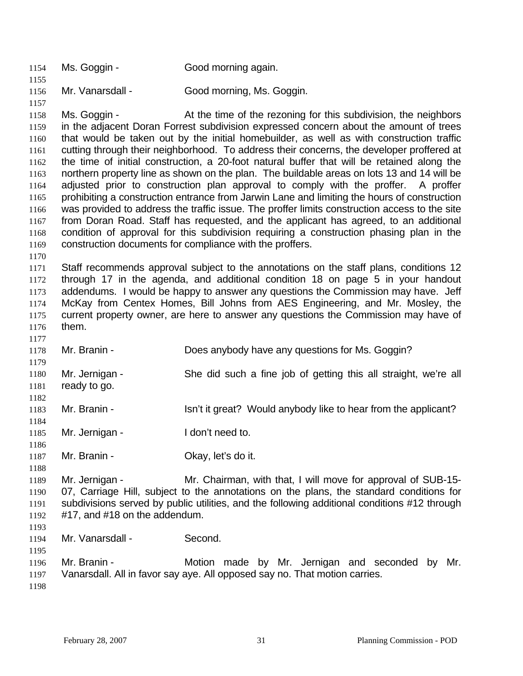1154 Ms. Goggin - Good morning again. 1155 1156 1157 1158 1159 1160 1161 1162 1163 1164 1165 1166 1167 1168 1169 1170 1171 1172 1173 1174 1175 1176 1177 1178 1179 1180 1181 1182 1183 1184 1185 1186 1187 1188 1189 1190 1191 1192 1193 1194 1195 1196 1197 1198 Mr. Vanarsdall - Good morning, Ms. Goggin. Ms. Goggin - At the time of the rezoning for this subdivision, the neighbors in the adjacent Doran Forrest subdivision expressed concern about the amount of trees that would be taken out by the initial homebuilder, as well as with construction traffic cutting through their neighborhood. To address their concerns, the developer proffered at the time of initial construction, a 20-foot natural buffer that will be retained along the northern property line as shown on the plan. The buildable areas on lots 13 and 14 will be adjusted prior to construction plan approval to comply with the proffer. A proffer prohibiting a construction entrance from Jarwin Lane and limiting the hours of construction was provided to address the traffic issue. The proffer limits construction access to the site from Doran Road. Staff has requested, and the applicant has agreed, to an additional condition of approval for this subdivision requiring a construction phasing plan in the construction documents for compliance with the proffers. Staff recommends approval subject to the annotations on the staff plans, conditions 12 through 17 in the agenda, and additional condition 18 on page 5 in your handout addendums. I would be happy to answer any questions the Commission may have. Jeff McKay from Centex Homes, Bill Johns from AES Engineering, and Mr. Mosley, the current property owner, are here to answer any questions the Commission may have of them. Mr. Branin - **Example 3** Does any body have any questions for Ms. Goggin? Mr. Jernigan - She did such a fine job of getting this all straight, we're all ready to go. Mr. Branin - Isn't it great? Would anybody like to hear from the applicant? Mr. Jernigan - The Unit need to. Mr. Branin - Ckay, let's do it. Mr. Jernigan - Mr. Chairman, with that, I will move for approval of SUB-15- 07, Carriage Hill, subject to the annotations on the plans, the standard conditions for subdivisions served by public utilities, and the following additional conditions #12 through #17, and #18 on the addendum. Mr. Vanarsdall - Second. Mr. Branin - The Motion made by Mr. Jernigan and seconded by Mr. Vanarsdall. All in favor say aye. All opposed say no. That motion carries.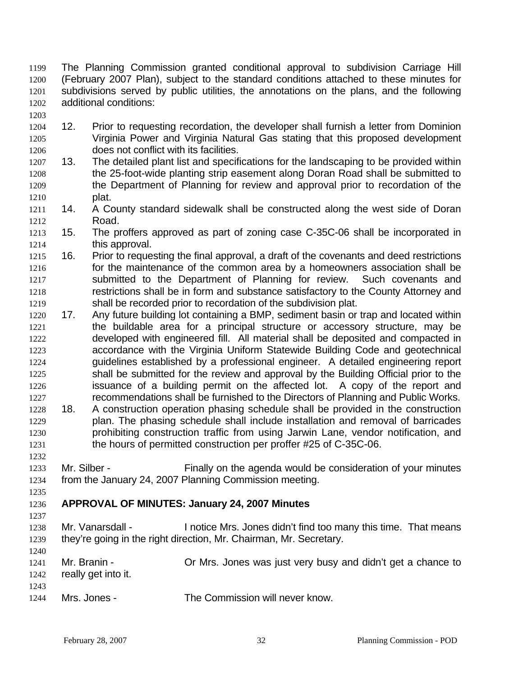The Planning Commission granted conditional approval to subdivision Carriage Hill (February 2007 Plan), subject to the standard conditions attached to these minutes for subdivisions served by public utilities, the annotations on the plans, and the following additional conditions: 1199 1200 1201 1202

- 1204 1205 1206 12. Prior to requesting recordation, the developer shall furnish a letter from Dominion Virginia Power and Virginia Natural Gas stating that this proposed development does not conflict with its facilities.
- 1207 1208 1209 1210 13. The detailed plant list and specifications for the landscaping to be provided within the 25-foot-wide planting strip easement along Doran Road shall be submitted to the Department of Planning for review and approval prior to recordation of the plat.
- 1211 1212 14. A County standard sidewalk shall be constructed along the west side of Doran Road.
- 1213 1214 15. The proffers approved as part of zoning case C-35C-06 shall be incorporated in this approval.
- 1215 1216 1217 1218 1219 16. Prior to requesting the final approval, a draft of the covenants and deed restrictions for the maintenance of the common area by a homeowners association shall be submitted to the Department of Planning for review. Such covenants and restrictions shall be in form and substance satisfactory to the County Attorney and shall be recorded prior to recordation of the subdivision plat.
- 1220 1221 1222 1223 1224 1225 1226 1227 17. Any future building lot containing a BMP, sediment basin or trap and located within the buildable area for a principal structure or accessory structure, may be developed with engineered fill. All material shall be deposited and compacted in accordance with the Virginia Uniform Statewide Building Code and geotechnical guidelines established by a professional engineer. A detailed engineering report shall be submitted for the review and approval by the Building Official prior to the issuance of a building permit on the affected lot. A copy of the report and recommendations shall be furnished to the Directors of Planning and Public Works.
- 1228 1229 1230 1231 18. A construction operation phasing schedule shall be provided in the construction plan. The phasing schedule shall include installation and removal of barricades prohibiting construction traffic from using Jarwin Lane, vendor notification, and the hours of permitted construction per proffer #25 of C-35C-06.
- 1233 1234 Mr. Silber - Finally on the agenda would be consideration of your minutes from the January 24, 2007 Planning Commission meeting.
- 1235

1237

1240

1232

1203

#### 1236 **APPROVAL OF MINUTES: January 24, 2007 Minutes**

- 1238 1239 Mr. Vanarsdall - Inotice Mrs. Jones didn't find too many this time. That means they're going in the right direction, Mr. Chairman, Mr. Secretary.
- 1241 1242 1243 Mr. Branin - **Communishing Communish Communisher** Supersity and didn't get a chance to really get into it.
- 1244 Mrs. Jones - The Commission will never know.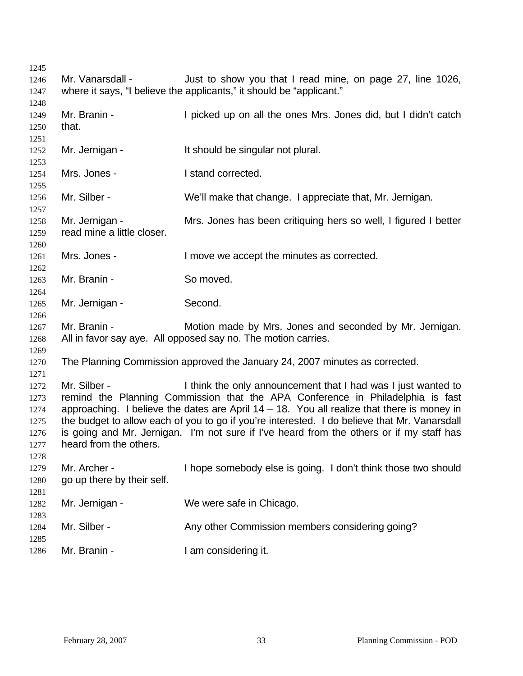Mr. Vanarsdall - Just to show you that I read mine, on page 27, line 1026, where it says, "I believe the applicants," it should be "applicant." Mr. Branin - The incked up on all the ones Mrs. Jones did, but I didn't catch that. Mr. Jernigan - It should be singular not plural. Mrs. Jones - The Istand corrected. Mr. Silber - We'll make that change. I appreciate that, Mr. Jernigan. Mr. Jernigan - Mrs. Jones has been critiquing hers so well, I figured I better read mine a little closer. Mrs. Jones - I move we accept the minutes as corrected. Mr. Branin - So moved. Mr. Jernigan - Second. Mr. Branin - Motion made by Mrs. Jones and seconded by Mr. Jernigan. All in favor say aye. All opposed say no. The motion carries. The Planning Commission approved the January 24, 2007 minutes as corrected. Mr. Silber - I think the only announcement that I had was I just wanted to remind the Planning Commission that the APA Conference in Philadelphia is fast approaching. I believe the dates are April 14 – 18. You all realize that there is money in the budget to allow each of you to go if you're interested. I do believe that Mr. Vanarsdall is going and Mr. Jernigan. I'm not sure if I've heard from the others or if my staff has heard from the others. Mr. Archer - I hope somebody else is going. I don't think those two should go up there by their self. Mr. Jernigan - We were safe in Chicago. Mr. Silber - Any other Commission members considering going? Mr. Branin - The Muslim Considering it.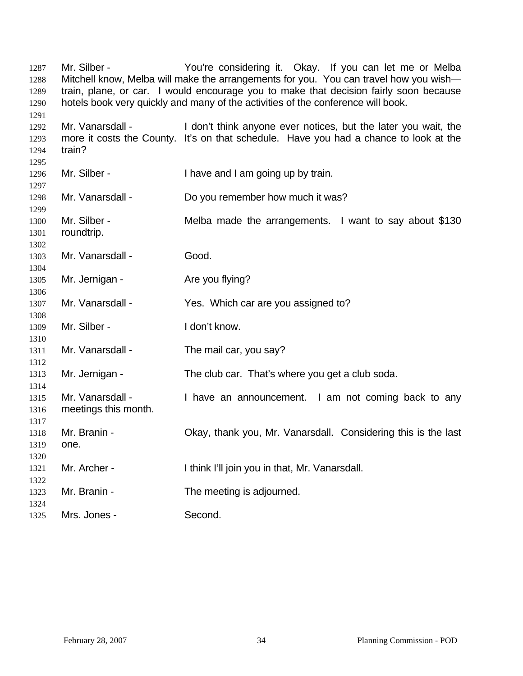Mr. Silber - You're considering it. Okay. If you can let me or Melba Mitchell know, Melba will make the arrangements for you. You can travel how you wish train, plane, or car. I would encourage you to make that decision fairly soon because hotels book very quickly and many of the activities of the conference will book. Mr. Vanarsdall - I don't think anyone ever notices, but the later you wait, the more it costs the County. It's on that schedule. Have you had a chance to look at the train? Mr. Silber - I have and I am going up by train. Mr. Vanarsdall - Do you remember how much it was? Mr. Silber - **Melba made the arrangements.** I want to say about \$130 roundtrip. Mr. Vanarsdall - Good. Mr. Jernigan - Are you flying? Mr. Vanarsdall - Yes. Which car are you assigned to? Mr. Silber - The Letter of Letter and Mr. Silber - The Letter of Letter and The Letter and The Letter and The Letter and The Letter and The Letter and The Letter and The Letter and The Letter and The Letter and The Letter Mr. Vanarsdall - The mail car, you say? Mr. Jernigan - The club car. That's where you get a club soda. Mr. Vanarsdall - I have an announcement. I am not coming back to any meetings this month. Mr. Branin - Ckay, thank you, Mr. Vanarsdall. Considering this is the last one. Mr. Archer - Think I'll join you in that, Mr. Vanarsdall. Mr. Branin - The meeting is adjourned. Mrs. Jones - Second.